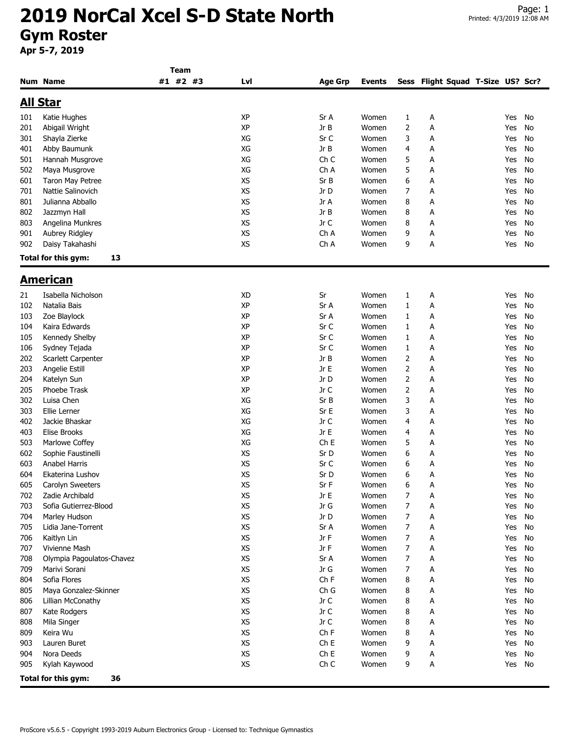**Team**

|                 | <b>Num Name</b>           | #1 #2 #3 | Lvl       | <b>Age Grp</b>  | <b>Events</b> | Sess           | Flight Squad T-Size US? Scr? |     |    |
|-----------------|---------------------------|----------|-----------|-----------------|---------------|----------------|------------------------------|-----|----|
| <u>All Star</u> |                           |          |           |                 |               |                |                              |     |    |
| 101             | Katie Hughes              |          | <b>XP</b> | Sr A            | Women         | 1              | А                            | Yes | No |
| 201             | Abigail Wright            |          | XP        | Jr B            | Women         | $\overline{2}$ | Α                            | Yes | No |
| 301             | Shayla Zierke             |          | XG        | Sr C            | Women         | 3              | Α                            | Yes | No |
| 401             | Abby Baumunk              |          | XG        | Jr B            | Women         | 4              | Α                            | Yes | No |
| 501             | Hannah Musgrove           |          | XG        | Ch C            | Women         | 5              | Α                            | Yes | No |
| 502             | Maya Musgrove             |          | XG        | Ch A            | Women         | 5              | А                            | Yes | No |
| 601             | Taron May Petree          |          | <b>XS</b> | Sr B            | Women         | 6              | А                            | Yes | No |
|                 |                           |          |           |                 |               |                |                              |     |    |
| 701             | Nattie Salinovich         |          | XS        | Jr D            | Women         | 7              | А                            | Yes | No |
| 801             | Julianna Abballo          |          | XS        | Jr A            | Women         | 8              | А                            | Yes | No |
| 802             | Jazzmyn Hall              |          | <b>XS</b> | Jr B            | Women         | 8              | А                            | Yes | No |
| 803             | Angelina Munkres          |          | XS        | Jr C            | Women         | 8              | А                            | Yes | No |
| 901             | Aubrey Ridgley            |          | XS        | Ch A            | Women         | 9              | А                            | Yes | No |
| 902             | Daisy Takahashi           |          | XS        | Ch A            | Women         | 9              | А                            | Yes | No |
|                 | Total for this gym:<br>13 |          |           |                 |               |                |                              |     |    |
|                 | <u>American</u>           |          |           |                 |               |                |                              |     |    |
| 21              | Isabella Nicholson        |          | XD        | Sr              | Women         | 1              | А                            | Yes | No |
| 102             | Natalia Bais              |          | XP        | Sr A            | Women         | $\mathbf{1}$   | Α                            | Yes | No |
| 103             | Zoe Blaylock              |          | XP        | Sr A            | Women         | $\mathbf{1}$   | Α                            | Yes | No |
| 104             | Kaira Edwards             |          | XP        | Sr C            | Women         | 1              | А                            | Yes | No |
| 105             | Kennedy Shelby            |          | XP        | Sr C            | Women         | 1              | А                            | Yes | No |
| 106             | Sydney Tejada             |          | XP        | Sr C            | Women         | 1              | А                            | Yes | No |
| 202             | Scarlett Carpenter        |          | XP        | Jr B            | Women         | 2              |                              | Yes | No |
|                 |                           |          | <b>XP</b> | Jr E            |               |                | А                            |     | No |
| 203             | Angelie Estill            |          |           |                 | Women         | 2              | Α                            | Yes |    |
| 204             | Katelyn Sun               |          | ΧP        | Jr D            | Women         | 2              | А                            | Yes | No |
| 205             | Phoebe Trask              |          | XP        | Jr C            | Women         | $\overline{2}$ | Α                            | Yes | No |
| 302             | Luisa Chen                |          | XG        | Sr B            | Women         | 3              | А                            | Yes | No |
| 303             | Ellie Lerner              |          | XG        | Sr E            | Women         | 3              | А                            | Yes | No |
| 402             | Jackie Bhaskar            |          | XG        | Jr C            | Women         | 4              | А                            | Yes | No |
| 403             | <b>Elise Brooks</b>       |          | XG        | Jr E            | Women         | 4              | А                            | Yes | No |
| 503             | Marlowe Coffey            |          | XG        | Ch <sub>E</sub> | Women         | 5              | А                            | Yes | No |
| 602             | Sophie Faustinelli        |          | XS        | Sr D            | Women         | 6              | Α                            | Yes | No |
| 603             | Anabel Harris             |          | <b>XS</b> | Sr C            | Women         | 6              | Α                            | Yes | No |
| 604             | Ekaterina Lushov          |          | XS        | Sr D            | Women         | 6              | А                            | Yes | No |
| 605             | Carolyn Sweeters          |          | XS        | Sr F            | Women         | 6              | А                            | Yes | No |
| 702             | Zadie Archibald           |          | XS        | Jr E            | Women         | 7              | А                            | Yes | No |
| 703             | Sofia Gutierrez-Blood     |          | XS        | Jr G            | Women         | 7              | А                            | Yes | No |
| 704             | Marley Hudson             |          | XS        | Jr D            | Women         | 7              | А                            | Yes | No |
| 705             | Lidia Jane-Torrent        |          | XS        | Sr A            | Women         | 7              | А                            | Yes | No |
| 706             | Kaitlyn Lin               |          | XS        | Jr F            | Women         | 7              | А                            | Yes | No |
| 707             | Vivienne Mash             |          | XS        | Jr F            | Women         | 7              | Α                            | Yes | No |
| 708             | Olympia Pagoulatos-Chavez |          | XS        | Sr A            | Women         | 7              | А                            | Yes | No |
| 709             | Marivi Sorani             |          | XS        | Jr G            | Women         | 7              | А                            | Yes | No |
| 804             | Sofia Flores              |          | XS        | Ch F            | Women         | 8              | А                            | Yes | No |
| 805             | Maya Gonzalez-Skinner     |          | XS        | Ch G            | Women         | 8              | А                            | Yes | No |
| 806             | Lillian McConathy         |          | XS        | Jr C            | Women         | 8              | А                            | Yes | No |
| 807             | Kate Rodgers              |          | XS        | Jr C            | Women         | 8              | А                            | Yes | No |
|                 |                           |          | XS        |                 |               |                |                              |     |    |
| 808             | Mila Singer               |          |           | Jr C            | Women         | 8              | А                            | Yes | No |
| 809             | Keira Wu                  |          | XS        | Ch F            | Women         | 8              | А                            | Yes | No |
| 903             | Lauren Buret              |          | XS        | ChE             | Women         | 9              | А                            | Yes | No |
| 904             | Nora Deeds                |          | XS        | Ch E            | Women         | 9              | А                            | Yes | No |
| 905             | Kylah Kaywood             |          | XS        | Ch C            | Women         | 9              | А                            | Yes | No |
|                 | Total for this gym:<br>36 |          |           |                 |               |                |                              |     |    |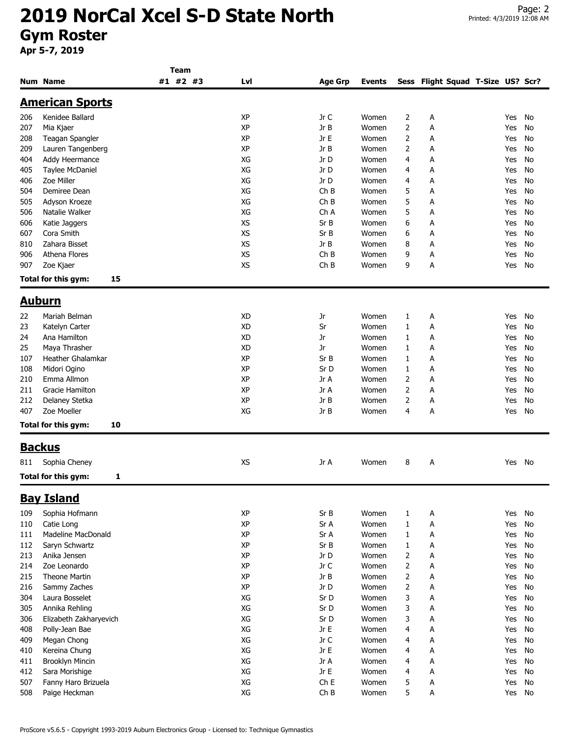|     |                           | Team     |           |                 |               |                |                              |     |    |
|-----|---------------------------|----------|-----------|-----------------|---------------|----------------|------------------------------|-----|----|
|     | Num Name                  | #1 #2 #3 | Lvl       | <b>Age Grp</b>  | <b>Events</b> | Sess           | Flight Squad T-Size US? Scr? |     |    |
|     | <b>American Sports</b>    |          |           |                 |               |                |                              |     |    |
|     |                           |          |           |                 |               |                |                              |     |    |
| 206 | Kenidee Ballard           |          | XP        | Jr C            | Women         | 2              | A                            | Yes | No |
| 207 | Mia Kjaer                 |          | XP        | Jr B            | Women         | 2              | A                            | Yes | No |
| 208 | Teagan Spangler           |          | XP        | Jr E            | Women         | 2              | A                            | Yes | No |
| 209 | Lauren Tangenberg         |          | XP        | Jr B            | Women         | 2              | А                            | Yes | No |
| 404 | Addy Heermance            |          | XG        | Jr D            | Women         | 4              | А                            | Yes | No |
| 405 | Taylee McDaniel           |          | XG        | Jr D            | Women         | 4              | А                            | Yes | No |
| 406 | Zoe Miller                |          | XG        | Jr D            | Women         | 4              | А                            | Yes | No |
| 504 | Demiree Dean              |          | XG        | ChB             | Women         | 5              | А                            | Yes | No |
| 505 | Adyson Kroeze             |          | XG        | ChB             | Women         | 5              | А                            | Yes | No |
| 506 | Natalie Walker            |          | XG        | Ch A            | Women         | 5              | A                            | Yes | No |
| 606 | Katie Jaggers             |          | XS        | Sr B            | Women         | 6              | А                            | Yes | No |
| 607 | Cora Smith                |          | <b>XS</b> | Sr B            | Women         | 6              | А                            | Yes | No |
| 810 | Zahara Bisset             |          | <b>XS</b> | Jr B            | Women         | 8              | А                            | Yes | No |
| 906 | Athena Flores             |          | XS        | ChB             | Women         | 9              | A                            | Yes | No |
| 907 | Zoe Kjaer                 |          | <b>XS</b> | ChB             | Women         | 9              | Α                            | Yes | No |
|     | Total for this gym:<br>15 |          |           |                 |               |                |                              |     |    |
|     |                           |          |           |                 |               |                |                              |     |    |
|     | <u>Auburn</u>             |          |           |                 |               |                |                              |     |    |
| 22  | Mariah Belman             |          | <b>XD</b> | Jr              | Women         | 1              | А                            | Yes | No |
| 23  | Katelyn Carter            |          | <b>XD</b> | Sr              | Women         | 1              | Α                            | Yes | No |
| 24  | Ana Hamilton              |          | <b>XD</b> | Jr              | Women         | 1              | А                            | Yes | No |
| 25  | Maya Thrasher             |          | <b>XD</b> | <b>Jr</b>       | Women         | $\mathbf{1}$   | А                            | Yes | No |
| 107 | Heather Ghalamkar         |          | XP        | Sr B            | Women         | 1              | А                            | Yes | No |
| 108 | Midori Ogino              |          | XP        | Sr D            | Women         | 1              | А                            | Yes | No |
| 210 | Emma Allmon               |          | XP        | Jr A            | Women         | 2              | A                            | Yes | No |
| 211 | Gracie Hamilton           |          | XP        | Jr A            | Women         | 2              | А                            | Yes | No |
| 212 | Delaney Stetka            |          | XP        | Jr B            | Women         | 2              | Α                            | Yes | No |
| 407 | Zoe Moeller               |          | XG        | Jr B            | Women         | 4              | А                            | Yes | No |
|     | Total for this gym:<br>10 |          |           |                 |               |                |                              |     |    |
|     |                           |          |           |                 |               |                |                              |     |    |
|     | <b>Backus</b>             |          |           |                 |               |                |                              |     |    |
| 811 | Sophia Cheney             |          | XS        | Jr A            | Women         | 8              | A                            | Yes | No |
|     | Total for this gym:<br>1  |          |           |                 |               |                |                              |     |    |
|     | <b>Bay Island</b>         |          |           |                 |               |                |                              |     |    |
| 109 | Sophia Hofmann            |          | XP        | Sr B            | Women         | $\mathbf{1}$   | А                            | Yes | No |
| 110 | Catie Long                |          | XP        | Sr A            | Women         | $\mathbf{1}$   | А                            | Yes | No |
| 111 | Madeline MacDonald        |          | XP        | Sr A            | Women         | 1              | Α                            | Yes | No |
| 112 | Saryn Schwartz            |          | XP        | Sr B            | Women         | $\mathbf{1}$   | А                            | Yes | No |
| 213 | Anika Jensen              |          | XP        | Jr D            | Women         | 2              | Α                            | Yes | No |
| 214 | Zoe Leonardo              |          | XP        | Jr C            | Women         | 2              | А                            | Yes | No |
|     | Theone Martin             |          | XP        | Jr B            | Women         | $\overline{2}$ |                              | Yes | No |
| 215 |                           |          | XP        |                 |               |                | Α                            |     |    |
| 216 | Sammy Zaches              |          |           | Jr D            | Women         | 2              | А                            | Yes | No |
| 304 | Laura Bosselet            |          | XG        | Sr D            | Women         | 3              | А                            | Yes | No |
| 305 | Annika Rehling            |          | XG        | Sr D            | Women         | 3              | А                            | Yes | No |
| 306 | Elizabeth Zakharyevich    |          | XG        | Sr D            | Women         | 3              | А                            | Yes | No |
| 408 | Polly-Jean Bae            |          | XG        | Jr E            | Women         | 4              | А                            | Yes | No |
| 409 | Megan Chong               |          | XG        | Jr C            | Women         | 4              | А                            | Yes | No |
| 410 | Kereina Chung             |          | XG        | Jr E            | Women         | 4              | A                            | Yes | No |
| 411 | <b>Brooklyn Mincin</b>    |          | XG        | Jr A            | Women         | 4              | Α                            | Yes | No |
| 412 | Sara Morishige            |          | XG        | Jr E            | Women         | 4              | Α                            | Yes | No |
| 507 | Fanny Haro Brizuela       |          | XG        | Ch <sub>E</sub> | Women         | 5              | А                            | Yes | No |
| 508 | Paige Heckman             |          | XG        | ChB             | Women         | 5              | Α                            | Yes | No |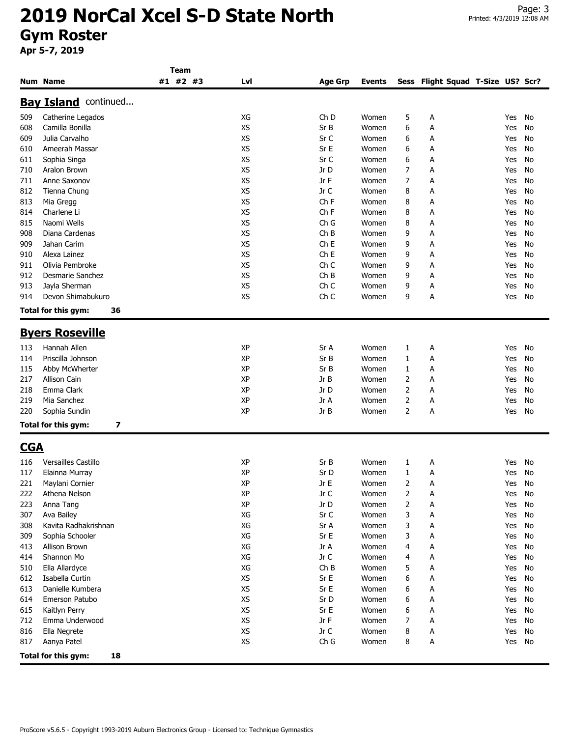|            |                             | Team     |           |                 |               |   |                                   |     |    |
|------------|-----------------------------|----------|-----------|-----------------|---------------|---|-----------------------------------|-----|----|
|            | <b>Num Name</b>             | #1 #2 #3 | Lvl       | Age Grp         | <b>Events</b> |   | Sess Flight Squad T-Size US? Scr? |     |    |
|            | <b>Bay Island</b> continued |          |           |                 |               |   |                                   |     |    |
| 509        | Catherine Legados           |          | XG        | Ch <sub>D</sub> | Women         | 5 | А                                 | Yes | No |
| 608        | Camilla Bonilla             |          | <b>XS</b> | Sr B            | Women         | 6 | А                                 | Yes | No |
| 609        | Julia Carvalho              |          | XS        | Sr C            | Women         | 6 | А                                 | Yes | No |
| 610        | Ameerah Massar              |          | <b>XS</b> | Sr E            | Women         | 6 | А                                 | Yes | No |
| 611        | Sophia Singa                |          | <b>XS</b> | Sr C            | Women         | 6 | А                                 | Yes | No |
| 710        | Aralon Brown                |          | <b>XS</b> | Jr D            | Women         | 7 | А                                 | Yes | No |
| 711        | Anne Saxonov                |          | XS        | Jr F            | Women         | 7 | А                                 | Yes | No |
| 812        | Tienna Chung                |          | XS        | Jr C            | Women         | 8 | Α                                 | Yes | No |
| 813        | Mia Gregg                   |          | <b>XS</b> | Ch F            | Women         | 8 | А                                 | Yes | No |
| 814        | Charlene Li                 |          | XS        | Ch <sub>F</sub> | Women         | 8 | А                                 | Yes | No |
| 815        | Naomi Wells                 |          | <b>XS</b> | Ch G            | Women         | 8 | А                                 | Yes | No |
| 908        | Diana Cardenas              |          | <b>XS</b> | ChB             | Women         | 9 | А                                 | Yes | No |
| 909        | Jahan Carim                 |          | <b>XS</b> | Ch <sub>E</sub> | Women         | 9 | А                                 | Yes | No |
| 910        | Alexa Lainez                |          | <b>XS</b> | Ch <sub>E</sub> | Women         | 9 | А                                 | Yes | No |
| 911        | Olivia Pembroke             |          | <b>XS</b> | Ch <sub>C</sub> | Women         | 9 | А                                 | Yes | No |
| 912        | <b>Desmarie Sanchez</b>     |          | XS        | ChB             | Women         | 9 | Α                                 | Yes | No |
| 913        | Jayla Sherman               |          | XS        | Ch <sub>C</sub> | Women         | 9 | А                                 | Yes | No |
| 914        | Devon Shimabukuro           |          | <b>XS</b> | Ch <sub>C</sub> | Women         | 9 | А                                 | Yes | No |
|            | Total for this gym:<br>36   |          |           |                 |               |   |                                   |     |    |
|            |                             |          |           |                 |               |   |                                   |     |    |
|            | <b>Byers Roseville</b>      |          |           |                 |               |   |                                   |     |    |
| 113        | Hannah Allen                |          | ΧP        | Sr A            | Women         | 1 | А                                 | Yes | No |
| 114        | Priscilla Johnson           |          | XP        | Sr B            | Women         | 1 | А                                 | Yes | No |
| 115        | Abby McWherter              |          | XP        | Sr B            | Women         | 1 | Α                                 | Yes | No |
| 217        | Allison Cain                |          | XP        | Jr B            | Women         | 2 | А                                 | Yes | No |
| 218        | Emma Clark                  |          | XP        | Jr D            | Women         | 2 | А                                 | Yes | No |
| 219        | Mia Sanchez                 |          | ΧP        | Jr A            | Women         | 2 | А                                 | Yes | No |
| 220        | Sophia Sundin               |          | XP        | Jr B            | Women         | 2 | А                                 | Yes | No |
|            | 7<br>Total for this gym:    |          |           |                 |               |   |                                   |     |    |
| <b>CGA</b> |                             |          |           |                 |               |   |                                   |     |    |
| 116        | <b>Versailles Castillo</b>  |          | ΧP        | Sr B            | Women         | 1 | А                                 | Yes | No |
| 117        | Elainna Murray              |          | XP        | Sr D            | Women         | 1 | А                                 | Yes | No |
| 221        | Maylani Cornier             |          | XP        | Jr E            | Women         | 2 | А                                 | Yes | No |
| 222        | Athena Nelson               |          | ΧP        | Jr C            | Women         | 2 | A                                 | Yes | No |
| 223        | Anna Tang                   |          | XP        | Jr D            | Women         | 2 | А                                 | Yes | No |
| 307        | Ava Bailey                  |          | XG        | Sr C            | Women         | 3 | А                                 | Yes | No |
| 308        | Kavita Radhakrishnan        |          | XG        | Sr A            | Women         | 3 | А                                 | Yes | No |
| 309        | Sophia Schooler             |          | XG        | Sr E            | Women         | 3 | А                                 | Yes | No |
| 413        | Allison Brown               |          | XG        | Jr A            | Women         | 4 | А                                 | Yes | No |
| 414        | Shannon Mo                  |          | XG        | Jr C            | Women         | 4 | А                                 | Yes | No |
| 510        | Ella Allardyce              |          | XG        | ChB             | Women         | 5 | А                                 | Yes | No |
| 612        | Isabella Curtin             |          | XS        | Sr E            | Women         | 6 | Α                                 | Yes | No |
| 613        | Danielle Kumbera            |          | XS        | Sr E            | Women         | 6 | А                                 | Yes | No |
| 614        | Emerson Patubo              |          | XS        | Sr D            | Women         | 6 | А                                 | Yes | No |
| 615        | Kaitlyn Perry               |          | XS        | Sr E            | Women         | 6 | А                                 | Yes | No |
| 712        | Emma Underwood              |          | XS        | Jr F            | Women         | 7 | А                                 | Yes | No |
| 816        | Ella Negrete                |          | XS        | Jr C            | Women         | 8 | А                                 | Yes | No |
| 817        | Aanya Patel                 |          | XS        | Ch G            | Women         | 8 | Α                                 | Yes | No |
|            | Total for this gym:<br>18   |          |           |                 |               |   |                                   |     |    |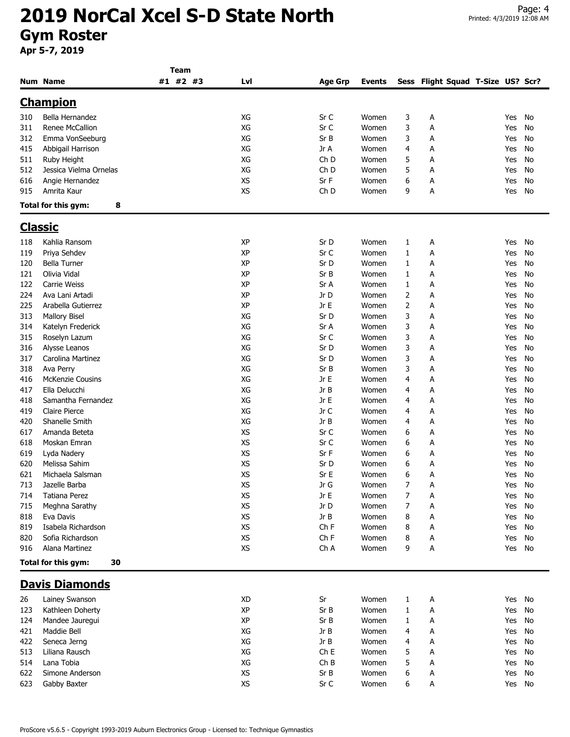|                |                           | Team     |           |                |               |              |                                   |        |    |
|----------------|---------------------------|----------|-----------|----------------|---------------|--------------|-----------------------------------|--------|----|
|                | <b>Num Name</b>           | #1 #2 #3 | Lvl       | <b>Age Grp</b> | <b>Events</b> |              | Sess Flight Squad T-Size US? Scr? |        |    |
|                | <b>Champion</b>           |          |           |                |               |              |                                   |        |    |
| 310            | Bella Hernandez           |          | XG        | Sr C           | Women         | 3            | А                                 | Yes    | No |
| 311            | Renee McCallion           |          | XG        | Sr C           | Women         | 3            | А                                 | Yes    | No |
| 312            | Emma VonSeeburg           |          | XG        | Sr B           | Women         | 3            | Α                                 | Yes    | No |
|                |                           |          |           |                |               |              |                                   |        |    |
| 415            | Abbigail Harrison         |          | XG        | Jr A           | Women         | 4            | А                                 | Yes    | No |
| 511            | Ruby Height               |          | XG        | Ch D           | Women         | 5            | А                                 | Yes    | No |
| 512            | Jessica Vielma Ornelas    |          | XG        | Ch D           | Women         | 5            | А                                 | Yes    | No |
| 616            | Angie Hernandez           |          | XS        | Sr F           | Women         | 6            | А                                 | Yes    | No |
| 915            | Amrita Kaur               |          | XS        | Ch D           | Women         | 9            | А                                 | Yes    | No |
|                | Total for this gym:<br>8  |          |           |                |               |              |                                   |        |    |
| <u>Classic</u> |                           |          |           |                |               |              |                                   |        |    |
| 118            | Kahlia Ransom             |          | XP        | Sr D           | Women         | 1            | А                                 | Yes    | No |
| 119            | Priya Sehdev              |          | XP        | Sr C           | Women         | 1            | Α                                 | Yes    | No |
| 120            | <b>Bella Turner</b>       |          | XP        | Sr D           | Women         | 1            | А                                 | Yes    | No |
| 121            | Olivia Vidal              |          | XP        | Sr B           | Women         | $\mathbf{1}$ | Α                                 | Yes    | No |
| 122            | Carrie Weiss              |          | XP        | Sr A           | Women         | 1            | А                                 | Yes    | No |
| 224            | Ava Lani Artadi           |          | XP        | Jr D           | Women         | 2            | Α                                 | Yes    | No |
| 225            | Arabella Gutierrez        |          | XP        | Jr E           | Women         | 2            | А                                 | Yes    | No |
|                |                           |          | XG        | Sr D           |               | 3            |                                   |        |    |
| 313            | <b>Mallory Bisel</b>      |          |           |                | Women         |              | А                                 | Yes    | No |
| 314            | Katelyn Frederick         |          | XG        | Sr A           | Women         | 3            | А                                 | Yes    | No |
| 315            | Roselyn Lazum             |          | XG        | Sr C           | Women         | 3            | А                                 | Yes    | No |
| 316            | Alysse Leanos             |          | XG        | Sr D           | Women         | 3            | Α                                 | Yes    | No |
| 317            | Carolina Martinez         |          | XG        | Sr D           | Women         | 3            | А                                 | Yes    | No |
| 318            | Ava Perry                 |          | XG        | Sr B           | Women         | 3            | Α                                 | Yes    | No |
| 416            | <b>McKenzie Cousins</b>   |          | XG        | Jr E           | Women         | 4            | А                                 | Yes    | No |
| 417            | Ella Delucchi             |          | XG        | Jr B           | Women         | 4            | А                                 | Yes    | No |
| 418            | Samantha Fernandez        |          | XG        | Jr E           | Women         | 4            | А                                 | Yes    | No |
| 419            | <b>Claire Pierce</b>      |          | XG        | Jr C           | Women         | 4            | А                                 | Yes    | No |
| 420            | Shanelle Smith            |          | XG        | Jr B           | Women         | 4            | А                                 | Yes    | No |
| 617            | Amanda Beteta             |          | <b>XS</b> | Sr C           | Women         | 6            | А                                 | Yes    | No |
| 618            | Moskan Emran              |          | XS        | Sr C           | Women         | 6            | А                                 | Yes    | No |
| 619            | Lyda Nadery               |          | <b>XS</b> | Sr F           | Women         | 6            | А                                 | Yes    | No |
| 620            | Melissa Sahim             |          | XS        | Sr D           | Women         | 6            | А                                 | Yes    | No |
| 621            | Michaela Salsman          |          | <b>XS</b> | Sr E           | Women         | 6            | А                                 | Yes    | No |
| 713            | Jazelle Barba             |          | XS        | Jr G           | Women         | 7            | А                                 | Yes No |    |
| 714            | Tatiana Perez             |          | XS        | Jr E           | Women         | 7            | A                                 | Yes    | No |
| 715            | Meghna Sarathy            |          | XS        | Jr D           | Women         | 7            | А                                 | Yes    | No |
| 818            | Eva Davis                 |          | XS        | Jr B           | Women         | 8            | А                                 | Yes    | No |
| 819            | Isabela Richardson        |          | <b>XS</b> | Ch F           | Women         | 8            | А                                 | Yes    | No |
| 820            | Sofia Richardson          |          | XS        | ChF            | Women         | 8            | А                                 | Yes    | No |
| 916            | Alana Martinez            |          | <b>XS</b> | Ch A           | Women         | 9            | Α                                 | Yes    | No |
|                | Total for this gym:<br>30 |          |           |                |               |              |                                   |        |    |
|                |                           |          |           |                |               |              |                                   |        |    |
|                | <b>Davis Diamonds</b>     |          |           |                |               |              |                                   |        |    |
| 26             | Lainey Swanson            |          | XD        | Sr             | Women         | 1            | A                                 | Yes    | No |
| 123            | Kathleen Doherty          |          | XP        | Sr B           | Women         | 1            | А                                 | Yes    | No |
| 124            | Mandee Jauregui           |          | XP        | Sr B           | Women         | 1            | А                                 | Yes    | No |
| 421            | Maddie Bell               |          | XG        | Jr B           | Women         | 4            | А                                 | Yes    | No |
| 422            | Seneca Jerng              |          | XG        | Jr B           | Women         | 4            | А                                 | Yes    | No |
| 513            | Liliana Rausch            |          | XG        | ChE            | Women         | 5            | А                                 | Yes    | No |
| 514            | Lana Tobia                |          | XG        | ChB            | Women         | 5            | А                                 | Yes    | No |
| 622            | Simone Anderson           |          | XS        | Sr B           | Women         | 6            | A                                 | Yes    | No |
| 623            | Gabby Baxter              |          | XS        | Sr C           | Women         | 6            | А                                 | Yes No |    |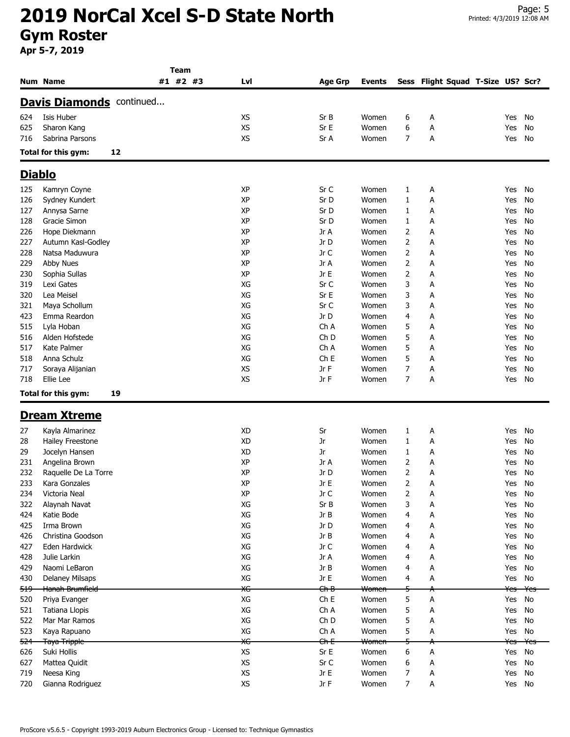|                |                                 | Team     |           |                 |                  |   |                                   |                |                |
|----------------|---------------------------------|----------|-----------|-----------------|------------------|---|-----------------------------------|----------------|----------------|
|                | Num Name                        | #1 #2 #3 | Lvl       | <b>Age Grp</b>  | Events           |   | Sess Flight Squad T-Size US? Scr? |                |                |
|                | <b>Davis Diamonds</b> continued |          |           |                 |                  |   |                                   |                |                |
| 624            | Isis Huber                      |          | XS        | Sr B            | Women            | 6 | А                                 | Yes            | No             |
| 625            | Sharon Kang                     |          | <b>XS</b> | Sr E            | Women            | 6 | А                                 | Yes            | No             |
| 716            | Sabrina Parsons                 |          | <b>XS</b> | Sr A            | Women            | 7 | А                                 | Yes            | No             |
|                | Total for this gym:<br>12       |          |           |                 |                  |   |                                   |                |                |
|                |                                 |          |           |                 |                  |   |                                   |                |                |
|                | <b>Diablo</b>                   |          |           |                 |                  |   |                                   |                |                |
| 125            | Kamryn Coyne                    |          | XP        | Sr C            | Women            | 1 | А                                 | Yes            | No             |
| 126            | Sydney Kundert                  |          | <b>XP</b> | Sr D            | Women            | 1 | А                                 | Yes            | No             |
| 127            | Annysa Sarne                    |          | <b>XP</b> | Sr D            | Women            | 1 | А                                 | Yes            | No             |
| 128            | Gracie Simon                    |          | XP        | Sr D            | Women            | 1 | А                                 | Yes            | No             |
| 226            | Hope Diekmann                   |          | XP        | Jr A            | Women            | 2 | А                                 | Yes            | No             |
| 227            | Autumn Kasl-Godley              |          | <b>XP</b> | Jr D            | Women            | 2 | А                                 | Yes            | No             |
| 228            | Natsa Maduwura                  |          | <b>XP</b> | Jr C            | Women            | 2 | Α                                 | Yes            | No             |
| 229            | Abby Nues                       |          | XP        | Jr A            | Women            | 2 | А                                 | Yes            | No             |
| 230            | Sophia Sullas                   |          | XP        | Jr E            | Women            | 2 | А                                 | Yes            | No             |
| 319            | Lexi Gates                      |          | XG        | Sr C            | Women            | 3 | А                                 | Yes            | No             |
| 320            | Lea Meisel                      |          | XG        | Sr E            | Women            | 3 | А                                 | Yes            | No             |
| 321            | Maya Schollum                   |          | XG        | Sr C            | Women            | 3 | А                                 | Yes            | No             |
| 423            | Emma Reardon                    |          | XG        | Jr D            | Women            | 4 | А                                 | Yes            | No             |
| 515            | Lyla Hoban                      |          | XG        | Ch A            | Women            | 5 | Α                                 | Yes            | No             |
| 516            | Alden Hofstede                  |          | XG        | Ch <sub>D</sub> | Women            | 5 | А                                 | Yes            | No             |
| 517            | Kate Palmer                     |          | XG        | Ch A            | Women            | 5 | Α                                 | Yes            | No             |
| 518            | Anna Schulz                     |          | XG        | Ch <sub>E</sub> | Women            | 5 | А                                 | Yes            | No             |
| 717            | Soraya Alijanian                |          | <b>XS</b> | Jr F            | Women            | 7 | А                                 | Yes            | No             |
| 718            | Ellie Lee                       |          | <b>XS</b> | Jr F            | Women            | 7 | А                                 | Yes            | No             |
|                | Total for this gym:<br>19       |          |           |                 |                  |   |                                   |                |                |
|                | <b>Dream Xtreme</b>             |          |           |                 |                  |   |                                   |                |                |
| 27             | Kayla Almarinez                 |          | XD        | Sr              | Women            | 1 | А                                 | Yes            | No             |
| 28             | Hailey Freestone                |          | <b>XD</b> | Jr              | Women            | 1 | А                                 | Yes            | No             |
| 29             | Jocelyn Hansen                  |          | <b>XD</b> | Jr              | Women            | 1 | A                                 | Yes            | No             |
| 231            | Angelina Brown                  |          | <b>XP</b> | Jr A            | Women            | 2 | А                                 | Yes            | No             |
| 232            | Raquelle De La Torre            |          | XP        | Jr D            | Women            | 2 | А                                 | Yes            | No             |
| 233            | Kara Gonzales                   |          | XP        | Jr E            | Women            | 2 | A                                 | Yes No         |                |
| 234            | Victoria Neal                   |          | XP        | Jr C            | Women            |   |                                   |                | No             |
|                |                                 |          | XG        | Sr B            |                  | 2 | А                                 | Yes            |                |
| 322            | Alaynah Navat<br>Katie Bode     |          | XG        |                 | Women            | 3 | А                                 | Yes            | No             |
| 424            | Irma Brown                      |          |           | Jr B            | Women            | 4 | А                                 | Yes            | No             |
| 425            |                                 |          | XG        | Jr D            | Women            | 4 | А                                 | Yes            | No             |
| 426            | Christina Goodson               |          | XG        | Jr B            | Women            | 4 | Α                                 | Yes            | No             |
| 427            | Eden Hardwick                   |          | XG        | Jr C            | Women            | 4 | А                                 | Yes            | No             |
| 428            | Julie Larkin                    |          | XG        | Jr A            | Women            | 4 | Α                                 | Yes            | No             |
| 429            | Naomi LeBaron                   |          | XG        | Jr B            | Women            | 4 | А                                 | Yes            | No             |
| 430            | <b>Delaney Milsaps</b>          |          | XG        | JrE             | Women            | 4 | А                                 | Yes            | No             |
| <del>519</del> | Hanah Brumfield                 |          | ЖG        | <del>Ch B</del> | Women            | 5 |                                   | <del>Yes</del> | <del>Yes</del> |
| 520            | Priya Evanger                   |          | XG        | ChE             | Women            | 5 | А                                 | Yes            | No             |
| 521            | Tatiana Llopis                  |          | XG        | Ch A            | Women            | 5 | А                                 | Yes            | No             |
| 522            | Mar Mar Ramos                   |          | XG        | Ch D            | Women            | 5 | А                                 | Yes            | No             |
| 523            | Kaya Rapuano                    |          | XG        | Ch A            | Women            | 5 | А                                 | Yes            | No             |
| <del>524</del> | <del>Taya Tripple</del>         |          | ЖG        | <del>Ch E</del> | <del>Women</del> | 5 |                                   | Yes            | <del>Yes</del> |
| 626            | Suki Hollis                     |          | XS        | SrE             | Women            | 6 | А                                 | Yes            | No             |
| 627            | Mattea Quidit                   |          | XS        | Sr C            | Women            | 6 | Α                                 | Yes            | No             |
| 719            | Neesa King                      |          | XS        | Jr $E$          | Women            | 7 | А                                 | Yes            | No             |
| 720            | Gianna Rodriguez                |          | XS        | Jr F            | Women            | 7 | Α                                 | Yes No         |                |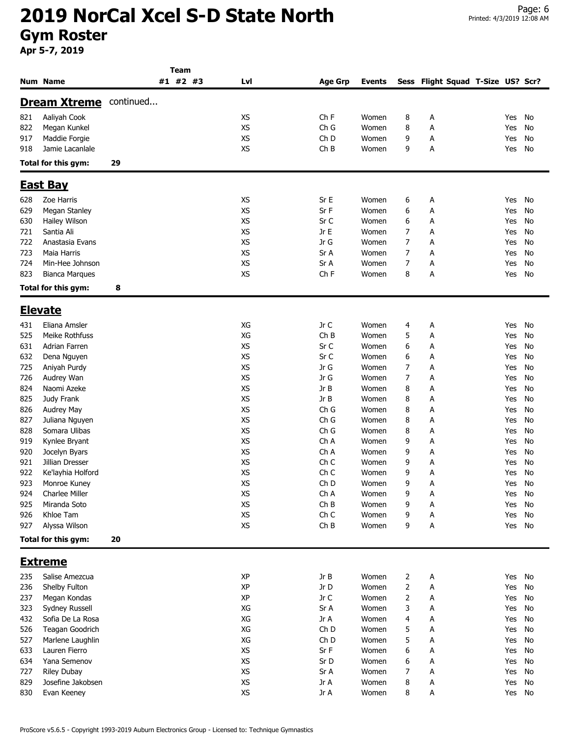|     |                       |           | Team     |           |                 |               |   |   |                                   |        |    |
|-----|-----------------------|-----------|----------|-----------|-----------------|---------------|---|---|-----------------------------------|--------|----|
|     | <b>Num Name</b>       |           | #1 #2 #3 | Lvl       | <b>Age Grp</b>  | <b>Events</b> |   |   | Sess Flight Squad T-Size US? Scr? |        |    |
|     | <b>Dream Xtreme</b>   | continued |          |           |                 |               |   |   |                                   |        |    |
|     |                       |           |          |           |                 |               |   |   |                                   |        |    |
| 821 | Aaliyah Cook          |           |          | <b>XS</b> | Ch <sub>F</sub> | Women         | 8 | А |                                   | Yes    | No |
| 822 | Megan Kunkel          |           |          | XS        | Ch G            | Women         | 8 | Α |                                   | Yes    | No |
| 917 | Maddie Forgie         |           |          | XS        | Ch D            | Women         | 9 | Α |                                   | Yes    | No |
| 918 | Jamie Lacanlale       |           |          | <b>XS</b> | ChB             | Women         | 9 | Α |                                   | Yes    | No |
|     | Total for this gym:   | 29        |          |           |                 |               |   |   |                                   |        |    |
|     | <b>East Bay</b>       |           |          |           |                 |               |   |   |                                   |        |    |
| 628 | Zoe Harris            |           |          | XS        | Sr E            | Women         | 6 | А |                                   | Yes    | No |
| 629 | Megan Stanley         |           |          | <b>XS</b> | Sr F            | Women         | 6 | А |                                   | Yes    | No |
| 630 | Hailey Wilson         |           |          | XS        | Sr C            | Women         | 6 | А |                                   | Yes    | No |
| 721 | Santia Ali            |           |          | XS        | Jr E            | Women         |   |   |                                   |        |    |
|     |                       |           |          |           |                 |               | 7 | Α |                                   | Yes    | No |
| 722 | Anastasia Evans       |           |          | XS        | Jr G            | Women         | 7 | Α |                                   | Yes    | No |
| 723 | Maia Harris           |           |          | <b>XS</b> | Sr A            | Women         | 7 | А |                                   | Yes    | No |
| 724 | Min-Hee Johnson       |           |          | <b>XS</b> | Sr A            | Women         | 7 | А |                                   | Yes    | No |
| 823 | <b>Bianca Marques</b> |           |          | XS        | Ch F            | Women         | 8 | Α |                                   | Yes    | No |
|     | Total for this gym:   | 8         |          |           |                 |               |   |   |                                   |        |    |
|     | <b>Elevate</b>        |           |          |           |                 |               |   |   |                                   |        |    |
| 431 | Eliana Amsler         |           |          | XG        | Jr C            | Women         | 4 | Α |                                   | Yes    | No |
| 525 | Meike Rothfuss        |           |          | XG        | ChB             | Women         | 5 | А |                                   | Yes    | No |
| 631 | Adrian Farren         |           |          | <b>XS</b> | Sr C            | Women         | 6 | Α |                                   | Yes    | No |
| 632 | Dena Nguyen           |           |          | XS        | Sr C            | Women         | 6 | А |                                   | Yes    | No |
| 725 | Aniyah Purdy          |           |          | XS        | Jr G            | Women         | 7 | А |                                   | Yes    | No |
|     |                       |           |          | <b>XS</b> | Jr G            |               |   |   |                                   |        |    |
| 726 | Audrey Wan            |           |          |           |                 | Women         | 7 | А |                                   | Yes    | No |
| 824 | Naomi Azeke           |           |          | XS        | Jr B            | Women         | 8 | А |                                   | Yes    | No |
| 825 | Judy Frank            |           |          | XS        | Jr B            | Women         | 8 | Α |                                   | Yes    | No |
| 826 | Audrey May            |           |          | XS        | Ch G            | Women         | 8 | Α |                                   | Yes    | No |
| 827 | Juliana Nguyen        |           |          | <b>XS</b> | Ch G            | Women         | 8 | Α |                                   | Yes    | No |
| 828 | Somara Ulibas         |           |          | XS        | Ch G            | Women         | 8 | Α |                                   | Yes    | No |
| 919 | Kynlee Bryant         |           |          | <b>XS</b> | Ch A            | Women         | 9 | А |                                   | Yes    | No |
| 920 | Jocelyn Byars         |           |          | XS        | Ch A            | Women         | 9 | Α |                                   | Yes    | No |
| 921 | Jillian Dresser       |           |          | XS        | Ch C            | Women         | 9 | А |                                   | Yes    | No |
| 922 | Ke'layhia Holford     |           |          | <b>XS</b> | Ch <sub>C</sub> | Women         | 9 | А |                                   | Yes    | No |
| 923 | Monroe Kuney          |           |          | XS        | Ch D            | Women         | q | Α |                                   | Yes No |    |
| 924 | Charlee Miller        |           |          | XS        | Ch A            | Women         | 9 | A |                                   | Yes    | No |
| 925 | Miranda Soto          |           |          | XS        | ChB             | Women         | 9 | А |                                   | Yes    | No |
| 926 | Khloe Tam             |           |          | XS        | Ch C            | Women         | 9 | А |                                   | Yes    | No |
| 927 | Alyssa Wilson         |           |          | XS        | ChB             | Women         | 9 | Α |                                   | Yes    | No |
|     | Total for this gym:   | 20        |          |           |                 |               |   |   |                                   |        |    |
|     | <b>Extreme</b>        |           |          |           |                 |               |   |   |                                   |        |    |
|     |                       |           |          |           |                 |               |   |   |                                   |        |    |
| 235 | Salise Amezcua        |           |          | XP        | Jr B            | Women         | 2 | А |                                   | Yes    | No |
| 236 | Shelby Fulton         |           |          | <b>XP</b> | Jr D            | Women         | 2 | А |                                   | Yes    | No |
| 237 | Megan Kondas          |           |          | XP        | Jr C            | Women         | 2 | А |                                   | Yes    | No |
| 323 | Sydney Russell        |           |          | XG        | Sr A            | Women         | 3 | А |                                   | Yes    | No |
| 432 | Sofia De La Rosa      |           |          | XG        | Jr A            | Women         | 4 | А |                                   | Yes    | No |
| 526 | Teagan Goodrich       |           |          | XG        | Ch D            | Women         | 5 | А |                                   | Yes    | No |
| 527 | Marlene Laughlin      |           |          | XG        | Ch D            | Women         | 5 | А |                                   | Yes    | No |
| 633 | Lauren Fierro         |           |          | XS        | SrF             | Women         | 6 | А |                                   | Yes    | No |
| 634 | Yana Semenov          |           |          | XS        | Sr D            | Women         | 6 | Α |                                   | Yes    | No |
| 727 | <b>Riley Dubay</b>    |           |          | XS        | Sr A            | Women         | 7 | А |                                   | Yes    | No |
| 829 | Josefine Jakobsen     |           |          | XS        | Jr A            | Women         | 8 | A |                                   | Yes    | No |
| 830 | Evan Keeney           |           |          | XS        | Jr A            | Women         | 8 | А |                                   | Yes No |    |
|     |                       |           |          |           |                 |               |   |   |                                   |        |    |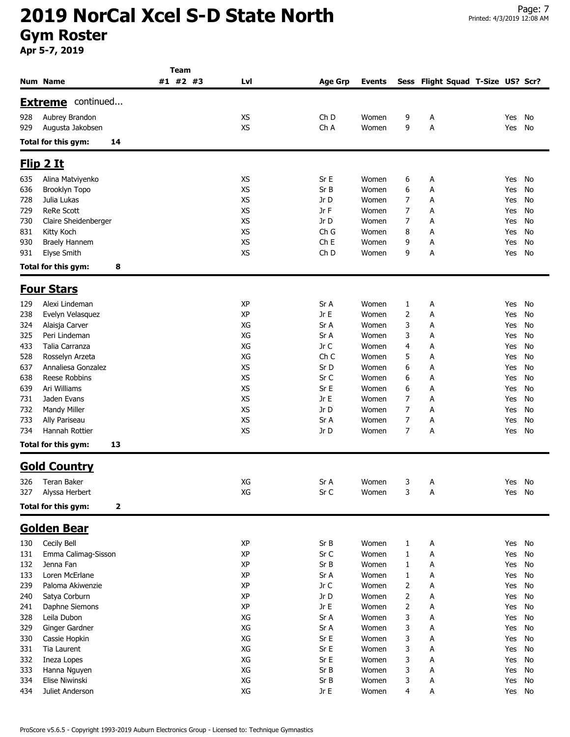|            |                                             | Team     |           |                 |                |                |                                   |            |          |
|------------|---------------------------------------------|----------|-----------|-----------------|----------------|----------------|-----------------------------------|------------|----------|
|            | Num Name                                    | #1 #2 #3 | Lvl       | <b>Age Grp</b>  | <b>Events</b>  |                | Sess Flight Squad T-Size US? Scr? |            |          |
|            | continued<br><u>Extreme</u>                 |          |           |                 |                |                |                                   |            |          |
| 928        | Aubrey Brandon                              |          | XS        | Ch <sub>D</sub> | Women          | 9              | А                                 | Yes        | No       |
| 929        | Augusta Jakobsen                            |          | XS        | Ch A            | Women          | 9              | Α                                 | Yes        | No       |
|            | Total for this gym:<br>14                   |          |           |                 |                |                |                                   |            |          |
|            | <u>Flip 2 It</u>                            |          |           |                 |                |                |                                   |            |          |
|            |                                             |          | <b>XS</b> | Sr E            |                |                |                                   |            |          |
| 635<br>636 | Alina Matviyenko<br>Brooklyn Topo           |          | <b>XS</b> | Sr B            | Women<br>Women | 6<br>6         | Α<br>Α                            | Yes<br>Yes | No<br>No |
| 728        | Julia Lukas                                 |          | <b>XS</b> | Jr D            | Women          | 7              | А                                 | Yes        | No       |
| 729        | <b>ReRe Scott</b>                           |          | <b>XS</b> | Jr F            | Women          | 7              | А                                 | Yes        | No       |
| 730        | Claire Sheidenberger                        |          | XS        | Jr D            | Women          | 7              | Α                                 | Yes        | No       |
| 831        | Kitty Koch                                  |          | <b>XS</b> | Ch G            | Women          | 8              | А                                 | Yes        | No       |
| 930        | <b>Braely Hannem</b>                        |          | XS        | Ch <sub>E</sub> | Women          | 9              | А                                 | Yes        | No       |
| 931        | <b>Elyse Smith</b>                          |          | <b>XS</b> | Ch D            | Women          | 9              | А                                 | Yes        | No       |
|            | Total for this gym:<br>8                    |          |           |                 |                |                |                                   |            |          |
|            | <b>Four Stars</b>                           |          |           |                 |                |                |                                   |            |          |
| 129        | Alexi Lindeman                              |          | ХP        | Sr A            | Women          | 1              | A                                 | Yes        | No       |
| 238        | Evelyn Velasquez                            |          | XP        | Jr E            | Women          | $\overline{2}$ | Α                                 | Yes        | No       |
| 324        | Alaisja Carver                              |          | XG        | Sr A            | Women          | 3              | А                                 | Yes        | No       |
| 325        | Peri Lindeman                               |          | XG        | Sr A            | Women          | 3              | Α                                 | Yes        | No       |
| 433        | Talia Carranza                              |          | XG        | Jr C            | Women          | 4              | А                                 | Yes        | No       |
| 528        | Rosselyn Arzeta                             |          | XG        | Ch <sub>C</sub> | Women          | 5              | Α                                 | Yes        | No       |
| 637        | Annaliesa Gonzalez                          |          | <b>XS</b> | Sr D            | Women          | 6              | А                                 | Yes        | No       |
| 638        | Reese Robbins                               |          | XS        | Sr C            | Women          | 6              | Α                                 | Yes        | No       |
| 639        | Ari Williams                                |          | <b>XS</b> | Sr E            | Women          | 6              | Α                                 | Yes        | No       |
| 731        | Jaden Evans                                 |          | XS        | Jr E            | Women          | 7              | Α                                 | Yes        | No       |
| 732        | Mandy Miller                                |          | <b>XS</b> | Jr D            | Women          | 7              | А                                 | Yes        | No       |
| 733        | Ally Pariseau                               |          | XS        | Sr A            | Women          | 7              | А                                 | Yes        | No       |
| 734        | Hannah Rottier<br>Total for this gym:<br>13 |          | <b>XS</b> | Jr D            | Women          | 7              | Α                                 | Yes        | No       |
|            |                                             |          |           |                 |                |                |                                   |            |          |
|            | <b>Gold Country</b>                         |          |           |                 |                |                |                                   |            |          |
| 326        | <b>Teran Baker</b>                          |          | XG        | Sr A            | Women          | 3              | A                                 | Yes        | No       |
| 327        | Alyssa Herbert                              |          | XG        | Sr C            | Women          | 3              | А                                 | Yes        | No       |
|            | Total for this gym:<br>2                    |          |           |                 |                |                |                                   |            |          |
|            | Golden Bear                                 |          |           |                 |                |                |                                   |            |          |
| 130        | Cecily Bell                                 |          | XP        | Sr B            | Women          | 1              | A                                 | Yes        | No       |
| 131        | Emma Calimag-Sisson                         |          | XP        | Sr C            | Women          | $\mathbf{1}$   | А                                 | Yes        | No       |
| 132        | Jenna Fan                                   |          | XP        | Sr B            | Women          | $\mathbf{1}$   | А                                 | Yes        | No       |
| 133        | Loren McErlane                              |          | XP        | Sr A            | Women          | $\mathbf{1}$   | Α                                 | Yes        | No       |
| 239        | Paloma Akiwenzie                            |          | XP        | Jr C            | Women          | $\overline{2}$ | Α                                 | Yes        | No       |
| 240        | Satya Corburn                               |          | XP        | Jr D            | Women          | $\overline{2}$ | А                                 | Yes        | No       |
| 241        | Daphne Siemons                              |          | XP        | Jr E            | Women          | 2              | А                                 | Yes        | No       |
| 328        | Leila Dubon                                 |          | XG        | Sr A            | Women          | 3              | А                                 | Yes        | No       |
| 329        | Ginger Gardner                              |          | XG        | Sr A            | Women          | 3              | А                                 | Yes        | No       |
| 330        | Cassie Hopkin                               |          | XG        | Sr E            | Women          | 3              | А                                 | Yes        | No       |
| 331        | Tia Laurent                                 |          | XG<br>XG  | Sr E<br>Sr E    | Women          | 3              | Α                                 | Yes        | No       |
| 332<br>333 | Ineza Lopes<br>Hanna Nguyen                 |          | XG        | Sr B            | Women<br>Women | 3<br>3         | А<br>Α                            | Yes<br>Yes | No<br>No |
| 334        | Elise Niwinski                              |          | XG        | Sr B            | Women          | 3              | А                                 | Yes        | No       |
| 434        | Juliet Anderson                             |          | XG        | Jr E            | Women          | 4              | А                                 | Yes        | No       |
|            |                                             |          |           |                 |                |                |                                   |            |          |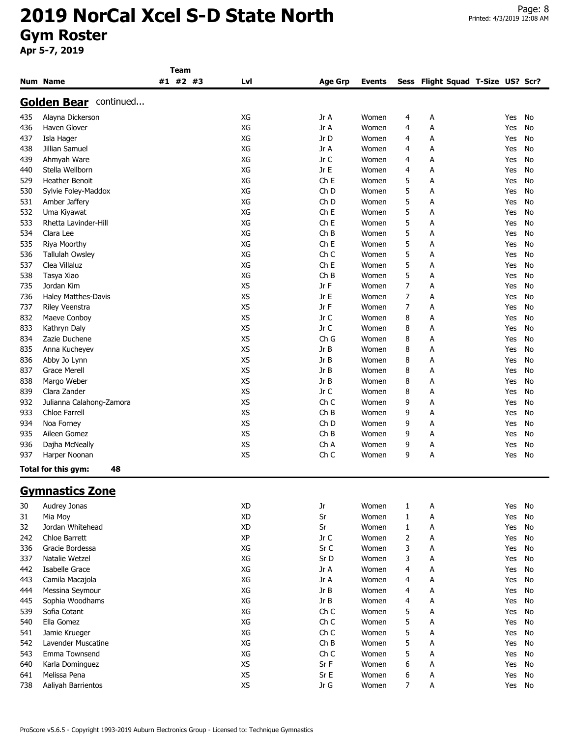|            |                               | <b>Team</b> |                        |                 |               |        |                                   |     |          |
|------------|-------------------------------|-------------|------------------------|-----------------|---------------|--------|-----------------------------------|-----|----------|
|            | <b>Num Name</b>               | #1 #2 #3    | Lvl                    | <b>Age Grp</b>  | <b>Events</b> |        | Sess Flight Squad T-Size US? Scr? |     |          |
|            | <b>Golden Bear</b> continued  |             |                        |                 |               |        |                                   |     |          |
| 435        | Alayna Dickerson              |             | XG                     | Jr A            | Women         | 4      | A                                 | Yes | No       |
| 436        | Haven Glover                  |             | XG                     | Jr A            | Women         | 4      | A                                 | Yes | No       |
| 437        | Isla Hager                    |             | XG                     | Jr D            | Women         | 4      | A                                 | Yes | No       |
| 438        | Jillian Samuel                |             | XG                     | Jr A            | Women         | 4      | A                                 | Yes | No       |
| 439        | Ahmyah Ware                   |             | XG                     | Jr C            | Women         | 4      | А                                 | Yes | No       |
| 440        | Stella Wellborn               |             | XG                     | Jr E            | Women         | 4      | A                                 | Yes | No       |
| 529        | <b>Heather Benoit</b>         |             | XG                     | Ch <sub>E</sub> | Women         | 5      | Α                                 | Yes | No       |
| 530        | Sylvie Foley-Maddox           |             | XG                     | Ch <sub>D</sub> | Women         | 5      | Α                                 | Yes | No       |
| 531        | Amber Jaffery                 |             | XG                     | Ch <sub>D</sub> | Women         | 5      | Α                                 | Yes | No       |
| 532        | Uma Kiyawat                   |             | XG                     | ChE             | Women         | 5      | А                                 | Yes | No       |
| 533        | Rhetta Lavinder-Hill          |             | XG                     | Ch <sub>E</sub> | Women         | 5      | А                                 | Yes | No       |
| 534        | Clara Lee                     |             | XG                     | ChB             | Women         | 5      | А                                 | Yes | No       |
| 535        | Riya Moorthy                  |             | XG                     | Ch E            | Women         | 5      | Α                                 | Yes | No       |
| 536        | <b>Tallulah Owsley</b>        |             | XG                     | Ch <sub>C</sub> | Women         | 5      | Α                                 | Yes | No       |
| 537        | Clea Villaluz                 |             | XG                     | Ch <sub>E</sub> | Women         | 5      | Α                                 | Yes | No       |
| 538        | Tasya Xiao                    |             | XG                     | ChB             | Women         | 5      | Α                                 | Yes | No       |
| 735        | Jordan Kim                    |             | XS                     | Jr F            | Women         | 7      | Α                                 | Yes | No       |
| 736        | Haley Matthes-Davis           |             | <b>XS</b>              | Jr E            | Women         | 7      | А                                 | Yes | No       |
| 737        | <b>Riley Veenstra</b>         |             | <b>XS</b>              | Jr F            | Women         | 7      | А                                 | Yes | No       |
| 832        | Maeve Conboy                  |             | <b>XS</b>              | Jr C            | Women         | 8      | A                                 | Yes | No       |
|            |                               |             | XS                     | Jr C            | Women         |        |                                   |     |          |
| 833<br>834 | Kathryn Daly<br>Zazie Duchene |             | <b>XS</b>              | Ch G            |               | 8<br>8 | А                                 | Yes | No<br>No |
|            |                               |             | <b>XS</b>              | Jr B            | Women         | 8      | А                                 | Yes |          |
| 835<br>836 | Anna Kucheyev                 |             | <b>XS</b>              | Jr B            | Women         |        | А                                 | Yes | No       |
|            | Abby Jo Lynn                  |             |                        |                 | Women         | 8      | Α                                 | Yes | No       |
| 837        | <b>Grace Merell</b>           |             | <b>XS</b><br><b>XS</b> | Jr B            | Women         | 8      | Α                                 | Yes | No       |
| 838        | Margo Weber                   |             |                        | Jr B            | Women         | 8      | Α                                 | Yes | No       |
| 839        | Clara Zander                  |             | <b>XS</b>              | Jr C            | Women         | 8      | Α                                 | Yes | No       |
| 932        | Julianna Calahong-Zamora      |             | <b>XS</b>              | Ch <sub>C</sub> | Women         | 9      | А                                 | Yes | No       |
| 933        | Chloe Farrell                 |             | <b>XS</b>              | ChB             | Women         | 9      | A                                 | Yes | No       |
| 934        | Noa Forney                    |             | XS                     | Ch <sub>D</sub> | Women         | 9      | Α                                 | Yes | No       |
| 935        | Aileen Gomez                  |             | <b>XS</b>              | ChB             | Women         | 9      | A                                 | Yes | No       |
| 936        | Dajha McNeally                |             | XS                     | Ch A            | Women         | 9      | A                                 | Yes | No       |
| 937        | Harper Noonan                 |             | <b>XS</b>              | Ch <sub>C</sub> | Women         | 9      | Α                                 | Yes | No       |
|            | Total for this gym:<br>48     |             |                        |                 |               |        |                                   |     |          |
|            | <b>Gymnastics Zone</b>        |             |                        |                 |               |        |                                   |     |          |
| 30         | Audrey Jonas                  |             | XD                     | Jr              | Women         | 1      | A                                 | Yes | No       |
| 31         | Mia Moy                       |             | <b>XD</b>              | Sr              | Women         | 1      | A                                 | Yes | No       |
| 32         | Jordan Whitehead              |             | <b>XD</b>              | Sr              | Women         | 1      | A                                 | Yes | No       |
| 242        | Chloe Barrett                 |             | XP                     | Jr C            | Women         | 2      | А                                 | Yes | No       |
| 336        | Gracie Bordessa               |             | XG                     | Sr C            | Women         | 3      | Α                                 | Yes | No       |
| 337        | Natalie Wetzel                |             | XG                     | Sr D            | Women         | 3      | A                                 | Yes | No       |
| 442        | Isabelle Grace                |             | XG                     | Jr A            | Women         | 4      | A                                 | Yes | No       |
| 443        | Camila Macajola               |             | XG                     | Jr A            | Women         | 4      | A                                 | Yes | No       |
| 444        | Messina Seymour               |             | XG                     | Jr B            | Women         | 4      | A                                 | Yes | No       |
| 445        | Sophia Woodhams               |             | XG                     | Jr B            | Women         | 4      | A                                 | Yes | No       |
| 539        | Sofia Cotant                  |             | XG                     | Ch C            | Women         | 5      | A                                 | Yes | No       |
| 540        | Ella Gomez                    |             | XG                     | Ch C            | Women         | 5      | A                                 | Yes | No       |
| 541        | Jamie Krueger                 |             | XG                     | Ch C            | Women         | 5      | А                                 | Yes | No       |
| 542        | Lavender Muscatine            |             | XG                     | ChB             | Women         | 5      | Α                                 | Yes | No       |
| 543        | Emma Townsend                 |             | XG                     | Ch C            | Women         | 5      | A                                 | Yes | No       |
| 640        | Karla Dominguez               |             | XS                     | Sr F            | Women         | 6      | A                                 | Yes | No       |
| 641        | Melissa Pena                  |             | XS                     | Sr E            | Women         | 6      | A                                 | Yes | No       |
| 738        | Aaliyah Barrientos            |             | XS                     | Jr $G$          | Women         | 7      | Α                                 | Yes | No       |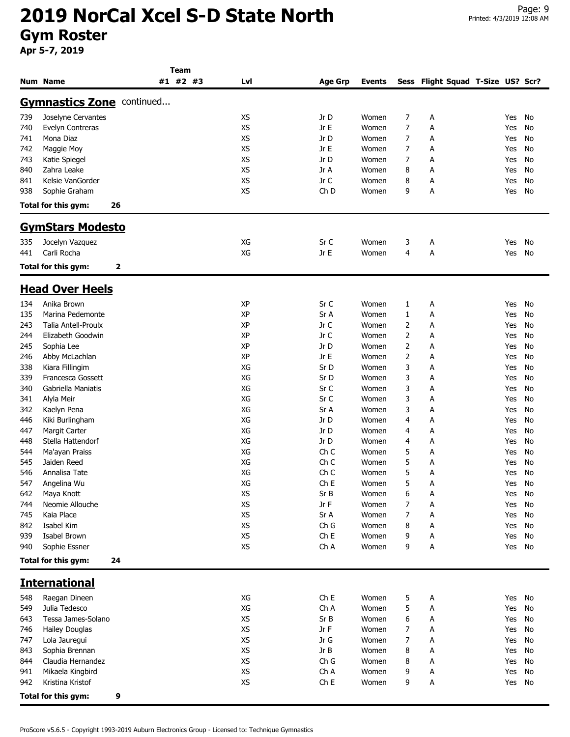|            |                                      | Team     |           |                 |                |                |                                   |            |          |
|------------|--------------------------------------|----------|-----------|-----------------|----------------|----------------|-----------------------------------|------------|----------|
|            | Num Name                             | #1 #2 #3 | Lvl       | Age Grp         | <b>Events</b>  |                | Sess Flight Squad T-Size US? Scr? |            |          |
|            | <b>Gymnastics Zone continued</b>     |          |           |                 |                |                |                                   |            |          |
| 739        | Joselyne Cervantes                   |          | <b>XS</b> | Jr D            | Women          | 7              | Α                                 | Yes        | No       |
| 740        | Evelyn Contreras                     |          | <b>XS</b> | Jr E            | Women          | 7              | Α                                 | Yes        | No       |
| 741        | Mona Diaz                            |          | <b>XS</b> | Jr D            | Women          | 7              | А                                 | Yes        | No       |
| 742        | Maggie Moy                           |          | <b>XS</b> | Jr E            | Women          | 7              | А                                 | Yes        | No       |
| 743        | Katie Spiegel                        |          | <b>XS</b> | Jr D            | Women          | 7              | А                                 | Yes        | No       |
| 840        | Zahra Leake                          |          | <b>XS</b> | Jr A            | Women          | 8              | А                                 | Yes        | No       |
| 841        | Kelsie VanGorder                     |          | XS        | Jr C            | Women          | 8              | Α                                 | Yes        | No       |
|            |                                      |          | XS        |                 |                | 9              | Α                                 |            | No       |
| 938        | Sophie Graham                        |          |           | Ch D            | Women          |                |                                   | Yes        |          |
|            | Total for this gym:                  | 26       |           |                 |                |                |                                   |            |          |
|            | <b>GymStars Modesto</b>              |          |           |                 |                |                |                                   |            |          |
| 335        | Jocelyn Vazquez                      |          | XG        | Sr C            | Women          | 3              | A                                 | Yes        | No       |
| 441        | Carli Rocha                          |          | XG        | Jr E            | Women          | $\overline{4}$ | Α                                 | Yes        | No       |
|            | Total for this gym:                  | 2        |           |                 |                |                |                                   |            |          |
|            | <b>Head Over Heels</b>               |          |           |                 |                |                |                                   |            |          |
| 134        | Anika Brown                          |          | XP        | Sr C            | Women          | 1              | А                                 | Yes        | No       |
| 135        | Marina Pedemonte                     |          | XP        | Sr A            | Women          | $\mathbf{1}$   | Α                                 | Yes        | No       |
| 243        | <b>Talia Antell-Proulx</b>           |          | ΧP        | Jr C            | Women          | 2              | Α                                 | Yes        | No       |
| 244        | Elizabeth Goodwin                    |          | XP        | Jr C            | Women          | 2              | Α                                 | Yes        | No       |
| 245        | Sophia Lee                           |          | XP        | Jr D            | Women          | $\overline{2}$ | Α                                 | Yes        | No       |
| 246        | Abby McLachlan                       |          | XP        | Jr E            | Women          | 2              | А                                 | Yes        | No       |
| 338        | Kiara Fillingim                      |          | XG        | Sr D            | Women          | 3              | Α                                 | Yes        | No       |
| 339        | Francesca Gossett                    |          | XG        | Sr D            | Women          | 3              | А                                 | Yes        | No       |
| 340        | Gabriella Maniatis                   |          | XG        | Sr C            | Women          | 3              | А                                 | Yes        | No       |
| 341        | Alyla Meir                           |          | XG        | Sr C            | Women          | 3              | А                                 | Yes        | No       |
| 342        | Kaelyn Pena                          |          | XG        | Sr A            | Women          | 3              | Α                                 | Yes        | No       |
| 446        | Kiki Burlingham                      |          | XG        | Jr D            | Women          | 4              | А                                 | Yes        | No       |
| 447        | <b>Margit Carter</b>                 |          | XG        | Jr D            | Women          | 4              | Α                                 | Yes        | No       |
| 448        | Stella Hattendorf                    |          | XG        | Jr D            | Women          | 4              | Α                                 | Yes        | No       |
| 544        | Ma'ayan Praiss                       |          | XG        | Ch <sub>C</sub> | Women          | 5              | Α                                 | Yes        | No       |
| 545        | Jaiden Reed                          |          | XG        | Ch <sub>C</sub> | Women          | 5              | Α                                 | Yes        | No       |
| 546        | Annalisa Tate                        |          | XG        | Ch <sub>C</sub> | Women          | 5              | Α                                 | Yes        | No       |
| 547        | Angelina Wu                          |          | XG        | Ch <sub>E</sub> | Women          | 5              | А                                 | Yes        | No       |
| 642        | Maya Knott                           |          | XS        | Sr B            | Women          | 6              | Α                                 | Yes        | No       |
| 744        | Neomie Allouche                      |          | <b>XS</b> | Jr F            | Women          | 7              | А                                 | Yes        | No       |
| 745        | Kaia Place                           |          | XS        | Sr A            | Women          | 7              | А                                 | Yes        | No       |
| 842        | Isabel Kim                           |          | XS        | Ch G            | Women          | 8              | А                                 | Yes        | No       |
| 939        | Isabel Brown                         |          | XS        | Ch E            | Women          | 9              | А                                 | Yes        | No       |
| 940        | Sophie Essner                        |          | XS        | Ch A            | Women          | 9              | А                                 | Yes        | No       |
|            | Total for this gym:                  | 24       |           |                 |                |                |                                   |            |          |
|            | <b>International</b>                 |          |           |                 |                |                |                                   |            |          |
| 548        | Raegan Dineen                        |          | XG        | ChE             | Women          |                |                                   | Yes        | No       |
| 549        | Julia Tedesco                        |          | XG        | Ch A            | Women          | 5<br>5         | А                                 | Yes        | No       |
|            |                                      |          |           |                 |                |                | А                                 |            |          |
| 643        | Tessa James-Solano                   |          | XS        | Sr B            | Women          | 6              | А                                 | Yes        | No       |
| 746        | <b>Hailey Douglas</b>                |          | XS        | Jr F            | Women          | 7              | А                                 | Yes        | No       |
| 747        | Lola Jauregui                        |          | XS        | Jr G            | Women          | 7              | А                                 | Yes        | No       |
| 843        | Sophia Brennan                       |          | XS        | Jr B            | Women          | 8              | А                                 | Yes        | No       |
| 844        | Claudia Hernandez                    |          | XS        | Ch G            | Women          | 8              | А                                 | Yes        | No       |
| 941<br>942 | Mikaela Kingbird<br>Kristina Kristof |          | XS<br>XS  | Ch A<br>Ch E    | Women<br>Women | 9<br>9         | А<br>А                            | Yes<br>Yes | No<br>No |
|            | Total for this gym:                  | 9        |           |                 |                |                |                                   |            |          |
|            |                                      |          |           |                 |                |                |                                   |            |          |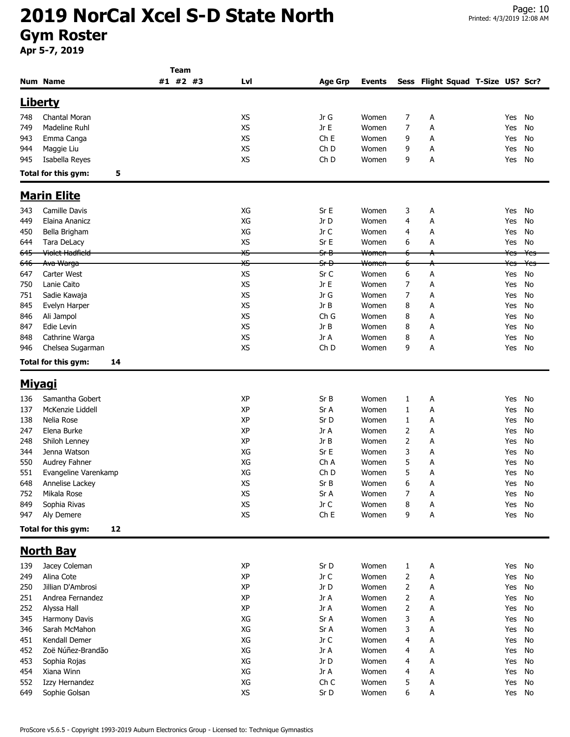|                |                            | Team     |           |                 |                  |                |                                   |                |                |
|----------------|----------------------------|----------|-----------|-----------------|------------------|----------------|-----------------------------------|----------------|----------------|
|                | <b>Num Name</b>            | #1 #2 #3 | Lvl       | <b>Age Grp</b>  | <b>Events</b>    |                | Sess Flight Squad T-Size US? Scr? |                |                |
|                | <u>Liberty</u>             |          |           |                 |                  |                |                                   |                |                |
| 748            | Chantal Moran              |          | <b>XS</b> | Jr G            | Women            | 7              | А                                 | Yes            | No             |
| 749            | Madeline Ruhl              |          | XS        | Jr E            | Women            | 7              | Α                                 |                | No             |
|                |                            |          | <b>XS</b> | Ch <sub>E</sub> |                  |                |                                   | Yes            |                |
| 943            | Emma Canga                 |          |           |                 | Women            | 9              | А                                 | Yes            | No             |
| 944            | Maggie Liu                 |          | <b>XS</b> | Ch <sub>D</sub> | Women            | 9              | А                                 | Yes            | No             |
| 945            | Isabella Reyes             |          | XS        | Ch <sub>D</sub> | Women            | 9              | Α                                 | Yes            | No             |
|                | Total for this gym:<br>5   |          |           |                 |                  |                |                                   |                |                |
|                | <b>Marin Elite</b>         |          |           |                 |                  |                |                                   |                |                |
| 343            | Camille Davis              |          | XG        | Sr E            | Women            | 3              | А                                 | Yes            | No             |
| 449            | Elaina Ananicz             |          | XG        | Jr D            | Women            | 4              | А                                 | Yes            | No             |
| 450            | Bella Brigham              |          | XG        | Jr C            | Women            | 4              | А                                 | Yes            | No             |
| 644            | Tara DeLacy                |          | XS        | Sr E            | Women            | 6              | А                                 | Yes            | No             |
| 645            | <del>Violet Hadfield</del> |          | XS        | <del>Sr B</del> | <del>Women</del> |                | А                                 | <del>Yes</del> | <del>Yes</del> |
| <del>646</del> | Ava Warga                  |          | XS        | <del>Sr D</del> | Women            |                | А                                 | ۴es            | ¥es            |
| 647            | Carter West                |          | XS        | Sr C            | Women            | 6              | А                                 | Yes            | No             |
| 750            | Lanie Caito                |          | <b>XS</b> | Jr E            | Women            | 7              | Α                                 | Yes            | No             |
| 751            | Sadie Kawaja               |          | XS        | Jr G            | Women            | 7              | Α                                 | Yes            | No             |
| 845            | Evelyn Harper              |          | XS        | Jr B            | Women            | 8              | A                                 | Yes            | No             |
| 846            |                            |          | XS        | Ch G            | Women            | 8              | Α                                 | Yes            | No             |
|                | Ali Jampol<br>Edie Levin   |          | <b>XS</b> | Jr B            | Women            |                |                                   |                |                |
| 847            |                            |          | XS        | Jr A            |                  | 8              | А                                 | Yes            | No             |
| 848            | Cathrine Warga             |          |           |                 | Women            | 8              | А                                 | Yes            | No             |
| 946            | Chelsea Sugarman           |          | <b>XS</b> | Ch <sub>D</sub> | Women            | 9              | А                                 | Yes            | No             |
|                | Total for this gym:<br>14  |          |           |                 |                  |                |                                   |                |                |
| <b>Miyagi</b>  |                            |          |           |                 |                  |                |                                   |                |                |
| 136            | Samantha Gobert            |          | XP        | Sr B            | Women            | 1              | А                                 | Yes            | No             |
| 137            | McKenzie Liddell           |          | ΧP        | Sr A            | Women            | 1              | А                                 | Yes            | No             |
| 138            | Nelia Rose                 |          | <b>XP</b> | Sr D            | Women            | 1              | А                                 | Yes            | No             |
| 247            | Elena Burke                |          | XP        | Jr A            | Women            | 2              | А                                 | Yes            | No             |
| 248            | Shiloh Lenney              |          | XP        | Jr B            | Women            | $\overline{2}$ | Α                                 | Yes            | No             |
| 344            | Jenna Watson               |          | XG        | Sr E            | Women            | 3              | А                                 | Yes            | No             |
| 550            | Audrey Fahner              |          | XG        | Ch A            | Women            | 5              | Α                                 | Yes            | No             |
| 551            | Evangeline Varenkamp       |          | XG        | Ch <sub>D</sub> | Women            | 5              | Α                                 | Yes            | No             |
| 648            | Annelise Lackey            |          | XS        | Sr B            | Women            | 6              | А                                 | Yes No         |                |
| 752            | Mikala Rose                |          | XS        | Sr A            | Women            | 7              | А                                 | Yes            | No             |
| 849            | Sophia Rivas               |          | XS        | Jr C            | Women            | 8              | А                                 | Yes            | No             |
| 947            | Aly Demere                 |          | <b>XS</b> | ChE             | Women            | 9              | Α                                 | Yes            | No             |
|                | Total for this gym:<br>12  |          |           |                 |                  |                |                                   |                |                |
|                |                            |          |           |                 |                  |                |                                   |                |                |
|                | <b>North Bay</b>           |          |           |                 |                  |                |                                   |                |                |
| 139            | Jacey Coleman              |          | ΧP        | Sr D            | Women            | $\mathbf{1}$   | A                                 | Yes            | No             |
| 249            | Alina Cote                 |          | XP        | Jr C            | Women            | 2              | А                                 | Yes            | No             |
| 250            | Jillian D'Ambrosi          |          | XP        | Jr D            | Women            | 2              | А                                 | Yes            | No             |
| 251            | Andrea Fernandez           |          | ΧP        | Jr A            | Women            | 2              | А                                 | Yes            | No             |
| 252            | Alyssa Hall                |          | XP        | Jr A            | Women            | 2              | А                                 | Yes            | No             |
| 345            | Harmony Davis              |          | XG        | Sr A            | Women            | 3              | А                                 | Yes            | No             |
| 346            | Sarah McMahon              |          | XG        | Sr A            | Women            | 3              | Α                                 | Yes            | No             |
| 451            | Kendall Demer              |          | XG        | Jr C            | Women            | 4              | Α                                 | Yes            | No             |
| 452            | Zoë Núñez-Brandão          |          | XG        | Jr A            | Women            | 4              | Α                                 | Yes            | No             |
| 453            | Sophia Rojas               |          | XG        | Jr D            | Women            | 4              | A                                 | Yes            | No             |
| 454            | Xiana Winn                 |          | XG        | Jr A            | Women            | 4              | А                                 | Yes            | No             |
| 552            | Izzy Hernandez             |          | XG        | Ch C            | Women            | 5              | А                                 | Yes            | No             |
| 649            | Sophie Golsan              |          | XS        | Sr D            | Women            | 6              | А                                 | Yes No         |                |
|                |                            |          |           |                 |                  |                |                                   |                |                |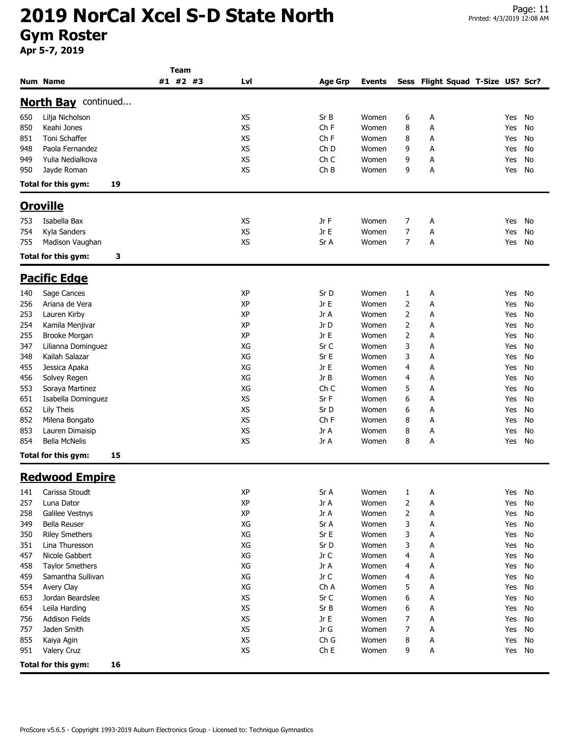|     |                            | Team     |           |                 |               |   |                                   |     |    |
|-----|----------------------------|----------|-----------|-----------------|---------------|---|-----------------------------------|-----|----|
|     | <b>Num Name</b>            | #1 #2 #3 | Lvl       | <b>Age Grp</b>  | <b>Events</b> |   | Sess Flight Squad T-Size US? Scr? |     |    |
|     | <b>North Bay</b> continued |          |           |                 |               |   |                                   |     |    |
| 650 | Lilja Nicholson            |          | <b>XS</b> | Sr B            | Women         | 6 | А                                 | Yes | No |
| 850 | Keahi Jones                |          | <b>XS</b> | Ch <sub>F</sub> | Women         | 8 | Α                                 | Yes | No |
| 851 | Toni Schaffer              |          | <b>XS</b> | Ch <sub>F</sub> | Women         | 8 | А                                 | Yes | No |
| 948 | Paola Fernandez            |          | <b>XS</b> | Ch <sub>D</sub> |               | 9 |                                   |     |    |
|     | Yulia Nedialkova           |          | XS        | Ch C            | Women         | 9 | Α                                 | Yes | No |
| 949 |                            |          |           |                 | Women         |   | А                                 | Yes | No |
| 950 | Jayde Roman                |          | <b>XS</b> | ChB             | Women         | 9 | А                                 | Yes | No |
|     | Total for this gym:<br>19  |          |           |                 |               |   |                                   |     |    |
|     | <b>Oroville</b>            |          |           |                 |               |   |                                   |     |    |
| 753 | Isabella Bax               |          | XS        | Jr F            | Women         | 7 | A                                 | Yes | No |
| 754 | Kyla Sanders               |          | <b>XS</b> | Jr E            | Women         | 7 | А                                 | Yes | No |
| 755 | Madison Vaughan            |          | XS        | Sr A            | Women         | 7 | A                                 | Yes | No |
|     | Total for this gym:<br>3   |          |           |                 |               |   |                                   |     |    |
|     | <u> Pacific Edge</u>       |          |           |                 |               |   |                                   |     |    |
|     |                            |          |           |                 |               |   |                                   |     |    |
| 140 | Sage Cances                |          | XP        | Sr D            | Women         | 1 | A                                 | Yes | No |
| 256 | Ariana de Vera             |          | XP        | Jr E            | Women         | 2 | А                                 | Yes | No |
| 253 | Lauren Kirby               |          | XP        | Jr A            | Women         | 2 | А                                 | Yes | No |
| 254 | Kamila Menjivar            |          | XP        | Jr D            | Women         | 2 | A                                 | Yes | No |
| 255 | Brooke Morgan              |          | XP        | Jr E            | Women         | 2 | А                                 | Yes | No |
| 347 | Lilianna Dominguez         |          | XG        | Sr C            | Women         | 3 | A                                 | Yes | No |
| 348 | Kailah Salazar             |          | XG        | Sr E            | Women         | 3 | А                                 | Yes | No |
| 455 | Jessica Apaka              |          | XG        | Jr E            | Women         | 4 | А                                 | Yes | No |
| 456 | Solvey Regen               |          | XG        | Jr B            | Women         | 4 | A                                 | Yes | No |
| 553 | Soraya Martinez            |          | XG        | Ch <sub>C</sub> | Women         | 5 | А                                 | Yes | No |
| 651 | Isabella Dominguez         |          | <b>XS</b> | Sr F            | Women         | 6 | A                                 | Yes | No |
| 652 | Lily Theis                 |          | XS        | Sr D            | Women         | 6 | А                                 | Yes | No |
| 852 | Milena Bongato             |          | <b>XS</b> | Ch <sub>F</sub> | Women         | 8 | А                                 | Yes | No |
| 853 | Lauren Dimaisip            |          | XS        | Jr A            | Women         | 8 | A                                 | Yes | No |
| 854 | <b>Bella McNelis</b>       |          | <b>XS</b> | Jr A            | Women         | 8 | А                                 | Yes | No |
|     | Total for this gym:<br>15  |          |           |                 |               |   |                                   |     |    |
|     |                            |          |           |                 |               |   |                                   |     |    |
|     | <b>Redwood Empire</b>      |          |           |                 |               |   |                                   |     |    |
| 141 | Carissa Stoudt             |          | XP        | Sr A            | Women         | 1 | A                                 | Yes | No |
| 257 | Luna Dator                 |          | XP        | Jr A            | Women         | 2 | A                                 | Yes | No |
| 258 | Galilee Vestnys            |          | XP        | Jr A            | Women         | 2 | Α                                 | Yes | No |
| 349 | Bella Reuser               |          | XG        | Sr A            | Women         | 3 | A                                 | Yes | No |
| 350 | <b>Riley Smethers</b>      |          | XG        | Sr E            | Women         | 3 | A                                 | Yes | No |
| 351 | Lina Thuresson             |          | XG        | Sr D            | Women         | 3 | A                                 | Yes | No |
| 457 | Nicole Gabbert             |          | XG        | Jr C            | Women         | 4 | A                                 | Yes | No |
| 458 | <b>Taylor Smethers</b>     |          | XG        | Jr A            | Women         | 4 | A                                 | Yes | No |
| 459 | Samantha Sullivan          |          | XG        | Jr C            | Women         | 4 | A                                 | Yes | No |
| 554 | Avery Clay                 |          | XG        | Ch A            | Women         | 5 | A                                 | Yes | No |
| 653 | Jordan Beardslee           |          | XS        | Sr C            | Women         | 6 | A                                 | Yes | No |
| 654 | Leila Harding              |          | XS        | Sr B            | Women         | 6 | A                                 | Yes | No |
| 756 | <b>Addison Fields</b>      |          | XS        | Jr E            | Women         | 7 | A                                 | Yes | No |
| 757 | Jaden Smith                |          | XS        | Jr G            | Women         | 7 | A                                 | Yes | No |
| 855 | Kaiya Agin                 |          | XS        | Ch G            | Women         | 8 | Α                                 | Yes | No |
| 951 | Valery Cruz                |          | XS        | Ch E            | Women         | 9 | Α                                 | Yes | No |
|     | Total for this gym:<br>16  |          |           |                 |               |   |                                   |     |    |
|     |                            |          |           |                 |               |   |                                   |     |    |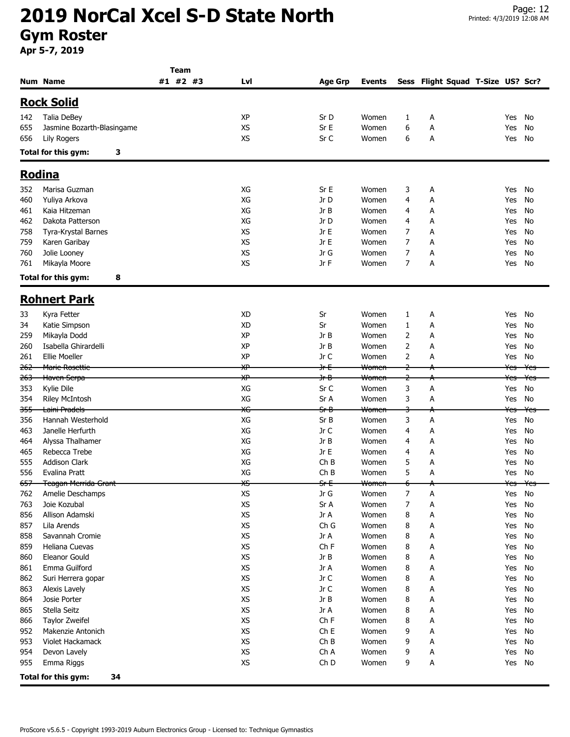|                |                            | <b>Team</b> |           |                 |                                   |                |                                   |                                           |                |
|----------------|----------------------------|-------------|-----------|-----------------|-----------------------------------|----------------|-----------------------------------|-------------------------------------------|----------------|
|                | <b>Num Name</b>            | #1 #2 #3    | Lvl       | <b>Age Grp</b>  | <b>Events</b>                     |                | Sess Flight Squad T-Size US? Scr? |                                           |                |
|                | <b>Rock Solid</b>          |             |           |                 |                                   |                |                                   |                                           |                |
| 142            | Talia DeBey                |             | XP        | Sr D            | Women                             | 1              | Α                                 | Yes                                       | No             |
| 655            | Jasmine Bozarth-Blasingame |             | <b>XS</b> | Sr E            | Women                             | 6              | Α                                 | Yes                                       | No             |
| 656            | Lily Rogers                |             | <b>XS</b> | Sr C            | Women                             | 6              | Α                                 | Yes                                       | No             |
|                | Total for this gym:<br>3   |             |           |                 |                                   |                |                                   |                                           |                |
|                | <b>Rodina</b>              |             |           |                 |                                   |                |                                   |                                           |                |
|                |                            |             |           |                 |                                   |                |                                   |                                           |                |
| 352            | Marisa Guzman              |             | XG        | Sr E            | Women                             | 3              | Α                                 | Yes                                       | No             |
| 460            | Yuliya Arkova              |             | XG        | Jr D            | Women                             | 4              | Α                                 | Yes                                       | No             |
| 461            | Kaia Hitzeman              |             | XG        | Jr B            | Women                             | 4              | А                                 | Yes                                       | No             |
| 462            | Dakota Patterson           |             | XG        | Jr D            | Women                             | 4              | Α                                 | Yes                                       | No             |
| 758            | Tyra-Krystal Barnes        |             | XS        | Jr E            | Women                             | 7              | Α                                 | Yes                                       | No             |
| 759            | Karen Garibay              |             | <b>XS</b> | Jr E            | Women                             | 7              | А                                 | Yes                                       | No             |
| 760            | Jolie Looney               |             | <b>XS</b> | Jr G            | Women                             | 7              | Α                                 | Yes                                       | No             |
| 761            | Mikayla Moore              |             | <b>XS</b> | Jr F            | Women                             | 7              | Α                                 | Yes                                       | No             |
|                | Total for this gym:<br>8   |             |           |                 |                                   |                |                                   |                                           |                |
|                | <b>Rohnert Park</b>        |             |           |                 |                                   |                |                                   |                                           |                |
| 33             | Kyra Fetter                |             | XD        | Sr              | Women                             | 1              | А                                 | Yes                                       | No             |
| 34             | Katie Simpson              |             | <b>XD</b> | Sr              | Women                             | 1              | Α                                 | Yes                                       | No             |
| 259            | Mikayla Dodd               |             | XP        | Jr B            | Women                             | 2              | А                                 | Yes                                       | No             |
| 260            | Isabella Ghirardelli       |             | XP        | Jr B            | Women                             | 2              | А                                 | Yes                                       | No             |
| 261            | <b>Ellie Moeller</b>       |             | XP        | Jr C            | Women                             | 2              | А                                 | Yes                                       | No             |
| <del>262</del> | <b>Marie Rosettie</b>      |             | ₩         | <del>Jr E</del> | <del>Women</del>                  | $\overline{z}$ |                                   | <del>Yes</del>                            | Yes            |
| <del>263</del> | Haven Serpa                |             | ӾҎ        | <del>Jr B</del> | Women                             | $\overline{z}$ |                                   | <del>Yes</del>                            | ¥es            |
| 353            | Kylie Dile                 |             | XG        | Sr C            | Women                             | 3              | Α                                 | Yes                                       | No             |
| 354            | <b>Riley McIntosh</b>      |             | XG        | Sr A            | Women                             | 3              | Α                                 | Yes                                       | No             |
| 355            | <del>Laini Pradels</del>   |             | ЖG        | $Sf$ $B$        | <del>Women</del>                  | 3              |                                   | Yes                                       | <del>Yes</del> |
| 356            | Hannah Westerhold          |             | XG        | Sr B            | Women                             | 3              | А                                 | Yes                                       | No             |
| 463            | Janelle Herfurth           |             | XG        | Jr C            | Women                             | 4              | Α                                 | Yes                                       | No             |
| 464            | Alyssa Thalhamer           |             | XG        | Jr B            | Women                             | 4              | Α                                 | Yes                                       | No             |
| 465            | Rebecca Trebe              |             | XG        | Jr E            | Women                             | 4              | А                                 | Yes                                       | No             |
| 555            | <b>Addison Clark</b>       |             | XG        | ChB             | Women                             | 5              | Α                                 | Yes                                       | No             |
| 556            | Evalina Pratt              |             | XG        | ChB             | Women                             | 5              | Α                                 | Yes                                       | No             |
| $657-$         | Teagan Merrida Grant       |             | vc<br>∼   | SrE             | $M_{\rm ann}$<br><del>women</del> | c              |                                   | $V_{\alpha\alpha}$ $V_{\alpha\beta}$<br>ᡄ |                |
| 762            | Amelie Deschamps           |             | XS        | Jr G            | Women                             | 7              | А                                 | Yes                                       | No             |
| 763            | Joie Kozubal               |             | XS        | Sr A            | Women                             | 7              | А                                 | Yes                                       | No             |
| 856            | Allison Adamski            |             | XS        | Jr A            | Women                             | 8              | А                                 | Yes                                       | No             |
| 857            | Lila Arends                |             | XS        | Ch G            | Women                             | 8              | Α                                 | Yes                                       | No             |
| 858            | Savannah Cromie            |             | XS        | Jr A            | Women                             | 8              | Α                                 | Yes                                       | No             |
| 859            | Heliana Cuevas             |             | XS        | Ch F            | Women                             | 8              | Α                                 | Yes                                       | No             |
| 860            | Eleanor Gould              |             | XS        | Jr B            | Women                             | 8              | Α                                 | Yes                                       | No             |
| 861            | Emma Guilford              |             | XS        | Jr A            | Women                             | 8              | А                                 | Yes                                       | No             |
| 862            | Suri Herrera gopar         |             | XS        | Jr C            | Women                             | 8              | А                                 | Yes                                       | No             |
| 863            | Alexis Lavely              |             | XS        | Jr C            | Women                             | 8              | А                                 | Yes                                       | No             |
| 864            | Josie Porter               |             | XS        | Jr B            | Women                             | 8              | А                                 | Yes                                       | No             |
| 865            | Stella Seitz               |             | XS        | Jr A            | Women                             | 8              | А                                 | Yes                                       | No             |
| 866            | <b>Taylor Zweifel</b>      |             | XS        | Ch F            | Women                             | 8              | Α                                 | Yes                                       | No             |
| 952            | Makenzie Antonich          |             | XS        | Ch E            | Women                             | 9              | А                                 | Yes                                       | No             |
| 953            | Violet Hackamack           |             | XS        | ChB             | Women                             | 9              | Α                                 | Yes                                       | No             |
| 954            | Devon Lavely               |             | XS        | Ch A            | Women                             | 9              | А                                 | Yes                                       | No             |
| 955            | Emma Riggs                 |             | XS        | Ch D            | Women                             | 9              | А                                 | Yes                                       | No             |
|                | Total for this gym:<br>34  |             |           |                 |                                   |                |                                   |                                           |                |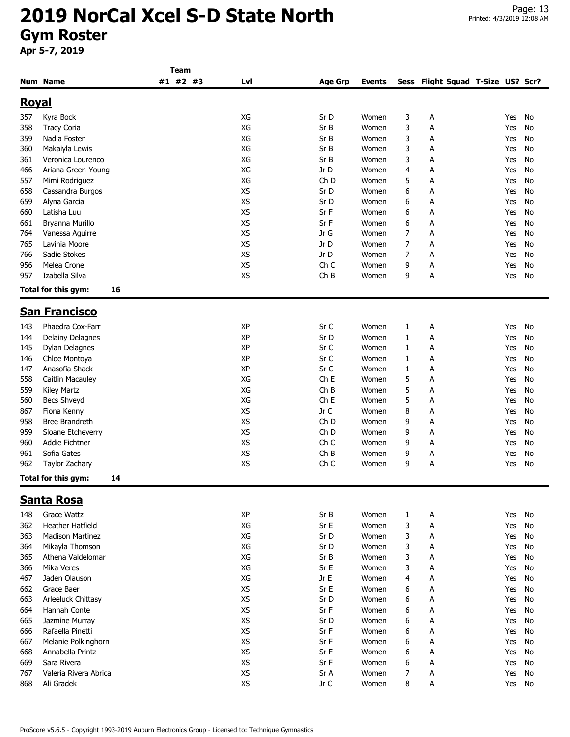|              |                           | <b>Team</b> |           |                 |               |              |                                   |     |    |
|--------------|---------------------------|-------------|-----------|-----------------|---------------|--------------|-----------------------------------|-----|----|
|              | <b>Num Name</b>           | #1 #2 #3    | Lvl       | <b>Age Grp</b>  | <b>Events</b> |              | Sess Flight Squad T-Size US? Scr? |     |    |
| <u>Royal</u> |                           |             |           |                 |               |              |                                   |     |    |
| 357          | Kyra Bock                 |             | XG        | Sr D            | Women         | 3            | Α                                 | Yes | No |
| 358          | <b>Tracy Coria</b>        |             | XG        | Sr B            | Women         | 3            | Α                                 | Yes | No |
| 359          | Nadia Foster              |             | XG        | Sr B            | Women         | 3            | Α                                 | Yes | No |
| 360          | Makaiyla Lewis            |             | XG        | Sr B            | Women         | 3            | А                                 | Yes | No |
| 361          | Veronica Lourenco         |             | XG        | Sr B            | Women         | 3            | Α                                 | Yes | No |
| 466          | Ariana Green-Young        |             | XG        | Jr D            | Women         | 4            | А                                 | Yes | No |
| 557          | Mimi Rodriguez            |             | XG        | Ch D            | Women         | 5            | А                                 | Yes | No |
| 658          | Cassandra Burgos          |             | XS        | Sr D            | Women         | 6            | А                                 | Yes | No |
| 659          | Alyna Garcia              |             | XS        | Sr D            | Women         | 6            | Α                                 | Yes | No |
| 660          | Latisha Luu               |             | XS        | Sr F            | Women         | 6            | Α                                 | Yes | No |
| 661          | Bryanna Murillo           |             | <b>XS</b> | Sr F            | Women         | 6            | Α                                 | Yes | No |
| 764          | Vanessa Aguirre           |             | XS        | Jr G            | Women         | 7            | Α                                 | Yes | No |
|              | Lavinia Moore             |             | XS        | Jr D            | Women         | 7            |                                   | Yes | No |
| 765<br>766   | Sadie Stokes              |             | <b>XS</b> | Jr D            | Women         | 7            | А<br>Α                            | Yes | No |
|              | Melea Crone               |             | XS        |                 |               |              |                                   |     |    |
| 956          |                           |             |           | Ch <sub>C</sub> | Women         | 9            | А                                 | Yes | No |
| 957          | Izabella Silva            |             | <b>XS</b> | ChB             | Women         | 9            | Α                                 | Yes | No |
|              | Total for this gym:<br>16 |             |           |                 |               |              |                                   |     |    |
|              | <b>San Francisco</b>      |             |           |                 |               |              |                                   |     |    |
| 143          | Phaedra Cox-Farr          |             | XP        | Sr C            | Women         | $\mathbf{1}$ | А                                 | Yes | No |
| 144          | Delainy Delagnes          |             | XP        | Sr D            | Women         | $\mathbf{1}$ | А                                 | Yes | No |
| 145          | Dylan Delagnes            |             | XP        | Sr C            | Women         | 1            | Α                                 | Yes | No |
| 146          | Chloe Montoya             |             | XP        | Sr C            | Women         | 1            | А                                 | Yes | No |
| 147          | Anasofia Shack            |             | XP        | Sr C            | Women         | 1            | А                                 | Yes | No |
| 558          | Caitlin Macauley          |             | XG        | Ch <sub>E</sub> | Women         | 5            | А                                 | Yes | No |
| 559          | Kiley Martz               |             | XG        | ChB             | Women         | 5            | Α                                 | Yes | No |
| 560          | <b>Becs Shveyd</b>        |             | XG        | Ch E            | Women         | 5            | А                                 | Yes | No |
| 867          | Fiona Kenny               |             | XS        | Jr C            | Women         | 8            | Α                                 | Yes | No |
| 958          | Bree Brandreth            |             | XS        | Ch D            | Women         | 9            | А                                 | Yes | No |
| 959          | Sloane Etcheverry         |             | XS        | Ch <sub>D</sub> | Women         | 9            | А                                 | Yes | No |
| 960          | Addie Fichtner            |             | XS        | Ch <sub>C</sub> | Women         | 9            | А                                 | Yes | No |
| 961          | Sofia Gates               |             | XS        | ChB             | Women         | 9            | А                                 | Yes | No |
| 962          | Taylor Zachary            |             | <b>XS</b> | Ch <sub>C</sub> | Women         | 9            | А                                 | Yes | No |
|              | Total for this gym:<br>14 |             |           |                 |               |              |                                   |     |    |
|              | <u>Santa Rosa</u>         |             |           |                 |               |              |                                   |     |    |
| 148          | <b>Grace Wattz</b>        |             | XP        | Sr B            | Women         | 1            | А                                 | Yes | No |
| 362          | <b>Heather Hatfield</b>   |             | XG        | Sr E            | Women         | 3            | А                                 | Yes | No |
| 363          | <b>Madison Martinez</b>   |             | XG        | Sr D            | Women         | 3            | А                                 | Yes | No |
| 364          | Mikayla Thomson           |             | XG        | Sr D            | Women         | 3            | Α                                 | Yes | No |
| 365          | Athena Valdelomar         |             | XG        | Sr B            | Women         | 3            | Α                                 | Yes | No |
| 366          | Mika Veres                |             | XG        | Sr E            | Women         | 3            | А                                 | Yes | No |
| 467          | Jaden Olauson             |             | XG        | Jr E            | Women         | 4            | А                                 | Yes | No |
|              | Grace Baer                |             | XS        | Sr E            | Women         |              |                                   |     |    |
| 662          |                           |             |           |                 |               | 6            | А                                 | Yes | No |
| 663          | Arleeluck Chittasy        |             | <b>XS</b> | Sr D            | Women         | 6            | А                                 | Yes | No |
| 664          | Hannah Conte              |             | XS        | Sr F            | Women         | 6            | А                                 | Yes | No |
| 665          | Jazmine Murray            |             | <b>XS</b> | Sr D            | Women         | 6            | А                                 | Yes | No |
| 666          | Rafaella Pinetti          |             | XS        | Sr F            | Women         | 6            | А                                 | Yes | No |
| 667          | Melanie Polkinghorn       |             | <b>XS</b> | Sr F            | Women         | 6            | А                                 | Yes | No |
| 668          | Annabella Printz          |             | <b>XS</b> | Sr F            | Women         | 6            | А                                 | Yes | No |
| 669          | Sara Rivera               |             | <b>XS</b> | Sr F            | Women         | 6            | А                                 | Yes | No |
| 767          | Valeria Rivera Abrica     |             | <b>XS</b> | Sr A            | Women         | 7            | А                                 | Yes | No |
| 868          | Ali Gradek                |             | XS        | Jr C            | Women         | 8            | А                                 | Yes | No |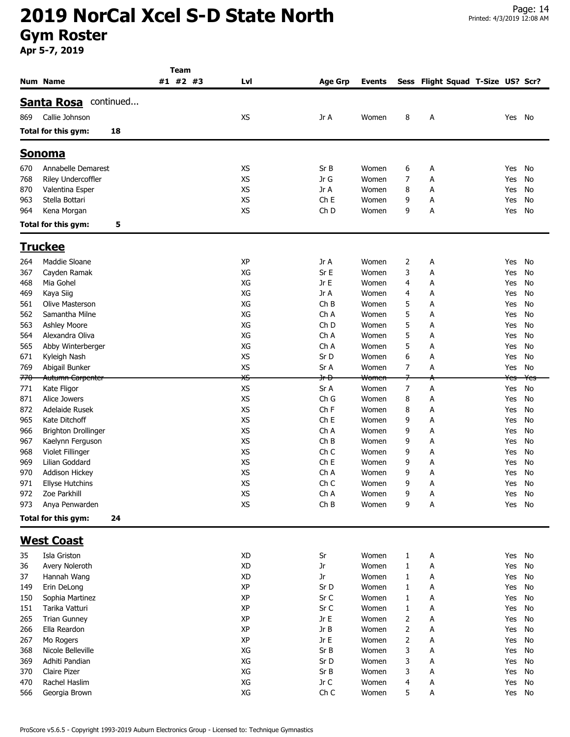|     |                             |    | <b>Team</b> |           |                 |               |        |                                   |        |     |
|-----|-----------------------------|----|-------------|-----------|-----------------|---------------|--------|-----------------------------------|--------|-----|
|     | <b>Num Name</b>             |    | #1 #2 #3    | Lvl       | <b>Age Grp</b>  | <b>Events</b> |        | Sess Flight Squad T-Size US? Scr? |        |     |
|     |                             |    |             |           |                 |               |        |                                   |        |     |
|     | <b>Santa Rosa</b> continued |    |             |           |                 |               |        |                                   |        |     |
| 869 | Callie Johnson              |    |             | <b>XS</b> | Jr A            | Women         | 8      | А                                 | Yes    | No  |
|     | Total for this gym:         | 18 |             |           |                 |               |        |                                   |        |     |
|     |                             |    |             |           |                 |               |        |                                   |        |     |
|     | <u>Sonoma</u>               |    |             |           |                 |               |        |                                   |        |     |
| 670 | Annabelle Demarest          |    |             | XS        | Sr B            | Women         | 6      | А                                 | Yes    | No  |
| 768 | Riley Undercoffler          |    |             | <b>XS</b> | Jr G            | Women         | 7      | А                                 | Yes    | No  |
| 870 | Valentina Esper             |    |             | XS        | Jr A            | Women         | 8      | А                                 | Yes    | No  |
| 963 | Stella Bottari              |    |             | <b>XS</b> | Ch <sub>E</sub> | Women         | 9      | А                                 | Yes    | No  |
| 964 | Kena Morgan                 |    |             | <b>XS</b> | Ch <sub>D</sub> | Women         | 9      | А                                 | Yes    | No  |
|     | Total for this gym:         | 5  |             |           |                 |               |        |                                   |        |     |
|     |                             |    |             |           |                 |               |        |                                   |        |     |
|     | <b>Truckee</b>              |    |             |           |                 |               |        |                                   |        |     |
| 264 | Maddie Sloane               |    |             | XP        | Jr A            | Women         | 2      | А                                 | Yes    | No  |
| 367 | Cayden Ramak                |    |             | XG        | Sr E            | Women         | 3      | А                                 | Yes    | No  |
| 468 | Mia Gohel                   |    |             | XG        | Jr E            | Women         | 4      | А                                 | Yes    | No  |
| 469 | Kaya Siig                   |    |             | XG        | Jr A            | Women         | 4      | А                                 | Yes    | No  |
| 561 | Olive Masterson             |    |             | XG        | ChB             | Women         | 5      | А                                 | Yes    | No  |
| 562 | Samantha Milne              |    |             | XG        | Ch A            | Women         | 5      | А                                 | Yes    | No  |
| 563 | Ashley Moore                |    |             | XG        | Ch <sub>D</sub> | Women         | 5      | А                                 | Yes    | No  |
| 564 | Alexandra Oliva             |    |             | XG        | Ch A            | Women         | 5      | А                                 | Yes    | No  |
| 565 | Abby Winterberger           |    |             | XG        | Ch A            | Women         | 5      | А                                 | Yes    | No  |
| 671 | Kyleigh Nash                |    |             | XS        | Sr D            | Women         | 6      | А                                 | Yes    | No  |
| 769 | Abigail Bunker              |    |             | XS        | Sr A            | Women         | 7      | А                                 | Yes    | No  |
| 770 | Autumn Carpenter            |    |             | XS        | <del>Jr D</del> | Women         | 7      |                                   | Yes    | Yes |
| 771 | Kate Fligor                 |    |             | XS        | Sr A            | Women         | 7      | А                                 | Yes    | No  |
| 871 | Alice Jowers                |    |             | XS        | Ch G            | Women         | 8      | А                                 | Yes    | No  |
| 872 | Adelaide Rusek              |    |             | <b>XS</b> | Ch <sub>F</sub> | Women         | 8      | А                                 | Yes    | No  |
| 965 | Kate Ditchoff               |    |             | <b>XS</b> | Ch <sub>E</sub> | Women         | 9      | Α                                 | Yes    | No  |
| 966 | <b>Brighton Drollinger</b>  |    |             | XS        | Ch A            | Women         | 9      | А                                 | Yes    | No  |
| 967 | Kaelynn Ferguson            |    |             | XS        | ChB             | Women         | 9      | Α                                 | Yes    | No  |
| 968 | Violet Fillinger            |    |             | XS        | Ch <sub>C</sub> | Women         | 9      | А                                 | Yes    | No  |
| 969 | Lilian Goddard              |    |             | XS        | Ch <sub>E</sub> | Women         | 9      | А                                 | Yes    | No  |
| 970 | <b>Addison Hickey</b>       |    |             | XS        | Ch A            | Women         | 9<br>q | А                                 | Yes    | No  |
| 971 | <b>Ellyse Hutchins</b>      |    |             | XS        | Ch C            | Women         |        | А                                 | Yes No |     |
| 972 | Zoe Parkhill                |    |             | XS        | Ch A            | Women         | 9      | A                                 | Yes    | No  |
| 973 | Anya Penwarden              |    |             | XS        | ChB             | Women         | 9      | А                                 | Yes    | No  |
|     | Total for this gym:         | 24 |             |           |                 |               |        |                                   |        |     |
|     | <b>West Coast</b>           |    |             |           |                 |               |        |                                   |        |     |
| 35  | Isla Griston                |    |             | XD        | Sr              | Women         | 1      | A                                 | Yes    | No  |
| 36  | Avery Noleroth              |    |             | <b>XD</b> | Jr              | Women         | 1      | А                                 | Yes    | No  |
| 37  | Hannah Wang                 |    |             | XD        | Jr              | Women         | 1      | А                                 | Yes    | No  |
| 149 | Erin DeLong                 |    |             | XP        | Sr D            | Women         | 1      | А                                 | Yes    | No  |
| 150 | Sophia Martinez             |    |             | XP        | Sr C            | Women         | 1      | А                                 | Yes    | No  |
| 151 | Tarika Vatturi              |    |             | XP        | Sr C            | Women         | 1      | А                                 | Yes    | No  |
| 265 | <b>Trian Gunney</b>         |    |             | XP        | Jr E            | Women         | 2      | А                                 | Yes    | No  |
| 266 | Ella Reardon                |    |             | XP        | Jr B            | Women         | 2      | А                                 | Yes    | No  |
| 267 | Mo Rogers                   |    |             | XP        | Jr E            | Women         | 2      | А                                 | Yes    | No  |
| 368 | Nicole Belleville           |    |             | XG        | Sr B            | Women         | 3      | A                                 | Yes    | No  |
| 369 | Adhiti Pandian              |    |             | XG        | Sr D            | Women         | 3      | A                                 | Yes    | No  |
| 370 | Claire Pizer                |    |             | XG        | Sr B            | Women         | 3      | Α                                 | Yes    | No  |
| 470 | Rachel Haslim               |    |             | XG        | Jr C            | Women         | 4      | А                                 | Yes    | No  |
| 566 | Georgia Brown               |    |             | XG        | Ch C            | Women         | 5      | Α                                 | Yes No |     |